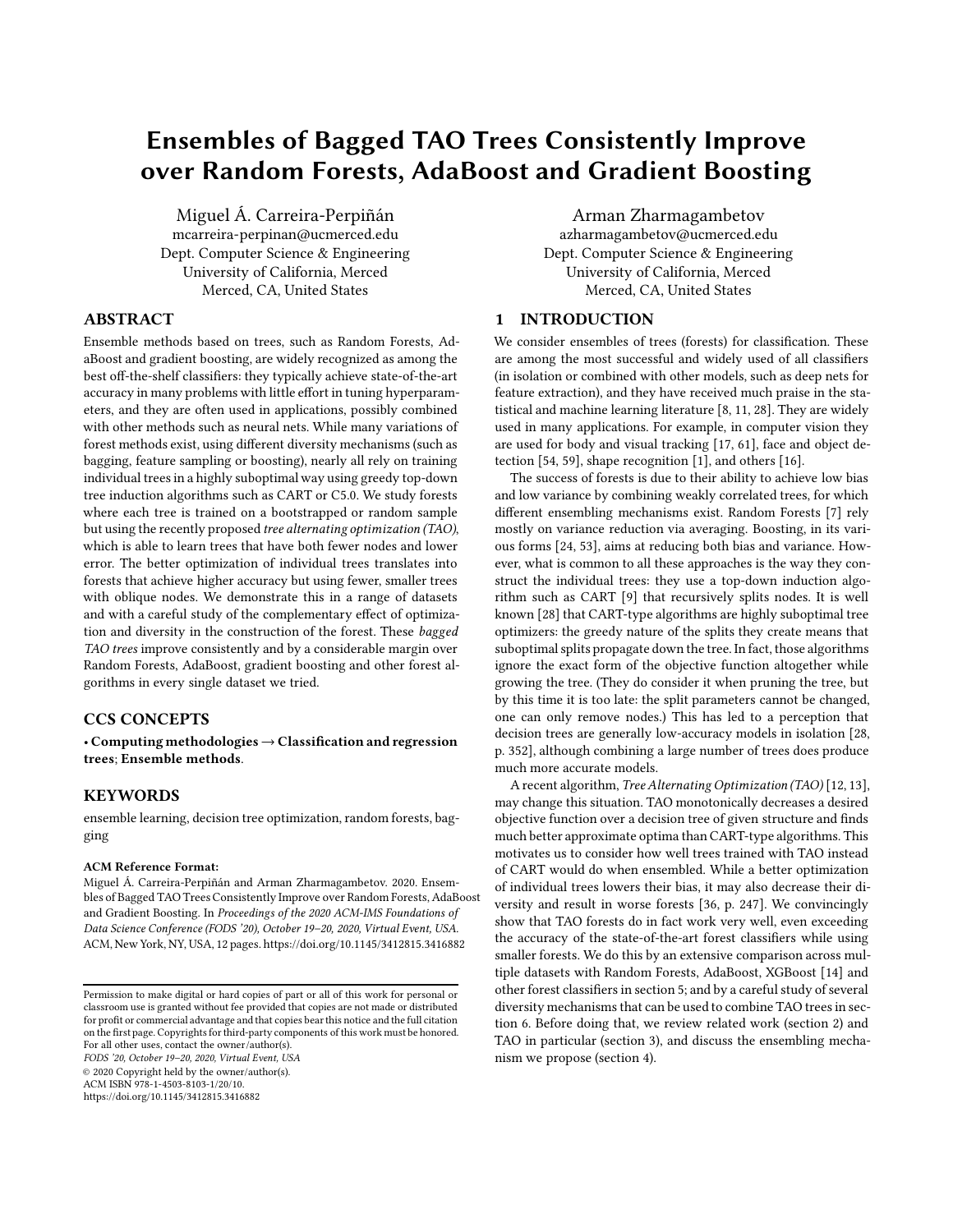# Ensembles of Bagged TAO Trees Consistently Improve over Random Forests, AdaBoost and Gradient Boosting

Miguel Á. Carreira-Perpiñán mcarreira-perpinan@ucmerced.edu Dept. Computer Science & Engineering University of California, Merced Merced, CA, United States

### ABSTRACT

Ensemble methods based on trees, such as Random Forests, AdaBoost and gradient boosting, are widely recognized as among the best off-the-shelf classifiers: they typically achieve state-of-the-art accuracy in many problems with little effort in tuning hyperparameters, and they are often used in applications, possibly combined with other methods such as neural nets. While many variations of forest methods exist, using different diversity mechanisms (such as bagging, feature sampling or boosting), nearly all rely on training individual trees in a highly suboptimal way using greedy top-down tree induction algorithms such as CART or C5.0. We study forests where each tree is trained on a bootstrapped or random sample but using the recently proposed tree alternating optimization (TAO), which is able to learn trees that have both fewer nodes and lower error. The better optimization of individual trees translates into forests that achieve higher accuracy but using fewer, smaller trees with oblique nodes. We demonstrate this in a range of datasets and with a careful study of the complementary effect of optimization and diversity in the construction of the forest. These bagged TAO trees improve consistently and by a considerable margin over Random Forests, AdaBoost, gradient boosting and other forest algorithms in every single dataset we tried.

### CCS CONCEPTS

• Computing methodologies→ Classification and regression trees; Ensemble methods.

# **KEYWORDS**

ensemble learning, decision tree optimization, random forests, bagging

#### ACM Reference Format:

Miguel Á. Carreira-Perpiñán and Arman Zharmagambetov. 2020. Ensembles of Bagged TAO Trees Consistently Improve over Random Forests, AdaBoost and Gradient Boosting. In Proceedings of the 2020 ACM-IMS Foundations of Data Science Conference (FODS '20), October 19–20, 2020, Virtual Event, USA. ACM, New York, NY, USA, [12 p](#page-11-0)ages.<https://doi.org/10.1145/3412815.3416882>

FODS '20, October 19–20, 2020, Virtual Event, USA

© 2020 Copyright held by the owner/author(s).

ACM ISBN 978-1-4503-8103-1/20/10.

<https://doi.org/10.1145/3412815.3416882>

Arman Zharmagambetov azharmagambetov@ucmerced.edu Dept. Computer Science & Engineering University of California, Merced Merced, CA, United States

# 1 INTRODUCTION

We consider ensembles of trees (forests) for classification. These are among the most successful and widely used of all classifiers (in isolation or combined with other models, such as deep nets for feature extraction), and they have received much praise in the statistical and machine learning literature [\[8](#page-8-0), [11,](#page-8-1) [28\]](#page-9-0). They are widely used in many applications. For example, in computer vision they are used for body and visual tracking [\[17,](#page-9-1) [61\]](#page-9-2), face and object detection [\[54](#page-9-3), [59\]](#page-9-4), shape recognition [\[1](#page-8-2)], and others [\[16](#page-9-5)].

The success of forests is due to their ability to achieve low bias and low variance by combining weakly correlated trees, for which different ensembling mechanisms exist. Random Forests [\[7\]](#page-8-3) rely mostly on variance reduction via averaging. Boosting, in its various forms [\[24](#page-9-6), [53\]](#page-9-7), aims at reducing both bias and variance. However, what is common to all these approaches is the way they construct the individual trees: they use a top-down induction algorithm such as CART [\[9\]](#page-8-4) that recursively splits nodes. It is well known [\[28\]](#page-9-0) that CART-type algorithms are highly suboptimal tree optimizers: the greedy nature of the splits they create means that suboptimal splits propagate down the tree. In fact, those algorithms ignore the exact form of the objective function altogether while growing the tree. (They do consider it when pruning the tree, but by this time it is too late: the split parameters cannot be changed, one can only remove nodes.) This has led to a perception that decision trees are generally low-accuracy models in isolation [\[28](#page-9-0), p. 352], although combining a large number of trees does produce much more accurate models.

A recent algorithm, Tree Alternating Optimization (TAO) [\[12](#page-8-5), [13](#page-9-8)], may change this situation. TAO monotonically decreases a desired objective function over a decision tree of given structure and finds much better approximate optima than CART-type algorithms. This motivates us to consider how well trees trained with TAO instead of CART would do when ensembled. While a better optimization of individual trees lowers their bias, it may also decrease their diversity and result in worse forests [\[36,](#page-9-9) p. 247]. We convincingly show that TAO forests do in fact work very well, even exceeding the accuracy of the state-of-the-art forest classifiers while using smaller forests. We do this by an extensive comparison across multiple datasets with Random Forests, AdaBoost, XGBoost [\[14\]](#page-9-10) and other forest classifiers in section [5;](#page-2-0) and by a careful study of several diversity mechanisms that can be used to combine TAO trees in section [6.](#page-4-0) Before doing that, we review related work (section [2\)](#page-1-0) and TAO in particular (section [3\)](#page-1-1), and discuss the ensembling mechanism we propose (section [4\)](#page-2-1).

Permission to make digital or hard copies of part or all of this work for personal or classroom use is granted without fee provided that copies are not made or distributed for profit or commercial advantage and that copies bear this notice and the full citation on the first page. Copyrights for third-party components of this work must be honored. For all other uses, contact the owner/author(s).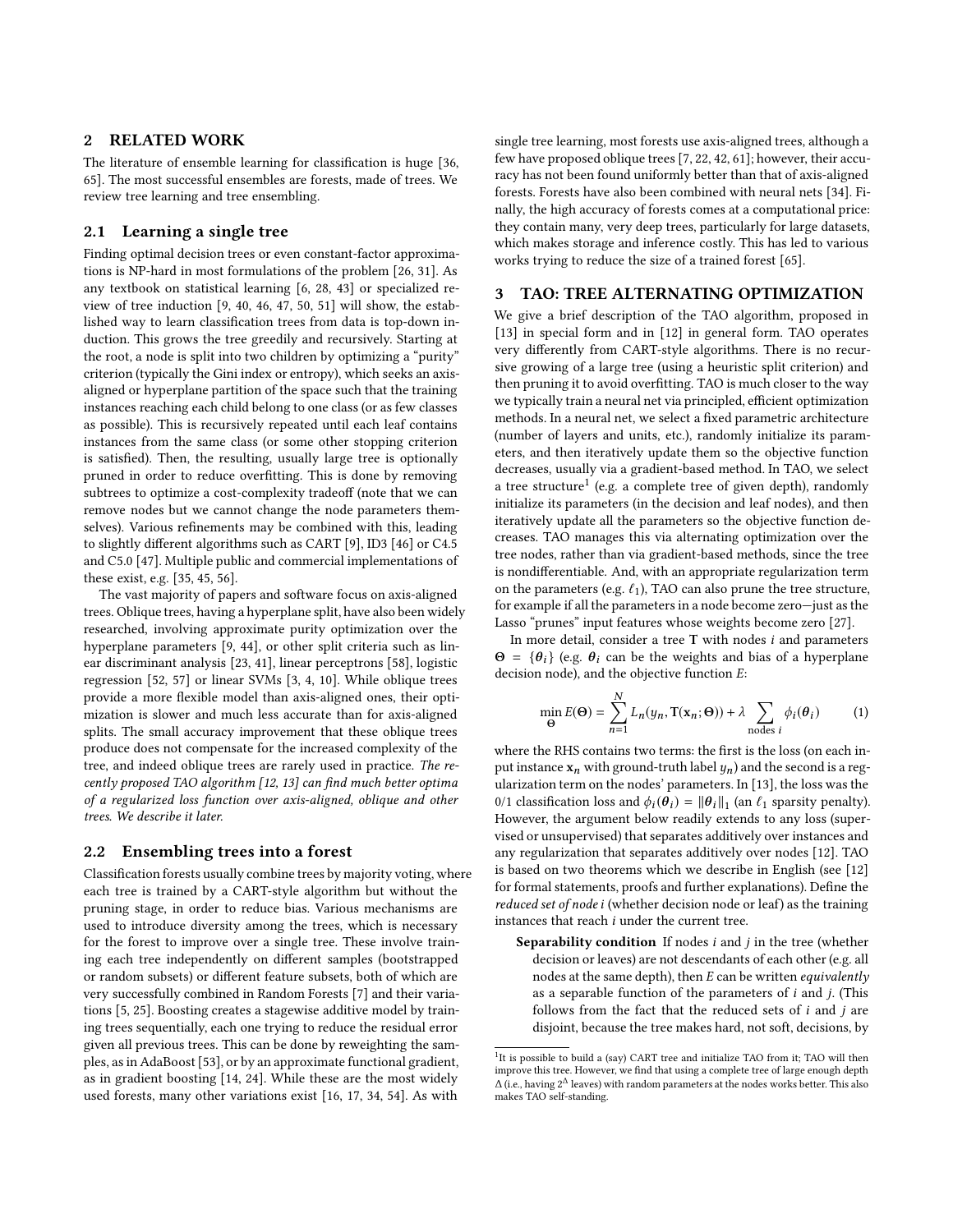## <span id="page-1-0"></span>2 RELATED WORK

The literature of ensemble learning for classification is huge [\[36](#page-9-9), [65](#page-9-11)]. The most successful ensembles are forests, made of trees. We review tree learning and tree ensembling.

## 2.1 Learning a single tree

Finding optimal decision trees or even constant-factor approximations is NP-hard in most formulations of the problem [\[26](#page-9-12), [31\]](#page-9-13). As any textbook on statistical learning [\[6,](#page-8-6) [28](#page-9-0), [43\]](#page-9-14) or specialized review of tree induction [\[9,](#page-8-4) [40,](#page-9-15) [46,](#page-9-16) [47](#page-9-17), [50](#page-9-18), [51\]](#page-9-19) will show, the established way to learn classification trees from data is top-down induction. This grows the tree greedily and recursively. Starting at the root, a node is split into two children by optimizing a "purity" criterion (typically the Gini index or entropy), which seeks an axisaligned or hyperplane partition of the space such that the training instances reaching each child belong to one class (or as few classes as possible). This is recursively repeated until each leaf contains instances from the same class (or some other stopping criterion is satisfied). Then, the resulting, usually large tree is optionally pruned in order to reduce overfitting. This is done by removing subtrees to optimize a cost-complexity tradeoff (note that we can remove nodes but we cannot change the node parameters themselves). Various refinements may be combined with this, leading to slightly different algorithms such as CART [\[9\]](#page-8-4), ID3 [\[46\]](#page-9-16) or C4.5 and C5.0 [\[47\]](#page-9-17). Multiple public and commercial implementations of these exist, e.g. [\[35,](#page-9-20) [45](#page-9-21), [56\]](#page-9-22).

The vast majority of papers and software focus on axis-aligned trees. Oblique trees, having a hyperplane split, have also been widely researched, involving approximate purity optimization over the hyperplane parameters [\[9,](#page-8-4) [44\]](#page-9-23), or other split criteria such as linear discriminant analysis [\[23](#page-9-24), [41\]](#page-9-25), linear perceptrons [\[58](#page-9-26)], logistic regression [\[52,](#page-9-27) [57](#page-9-28)] or linear SVMs [\[3](#page-8-7), [4](#page-8-8), [10](#page-8-9)]. While oblique trees provide a more flexible model than axis-aligned ones, their optimization is slower and much less accurate than for axis-aligned splits. The small accuracy improvement that these oblique trees produce does not compensate for the increased complexity of the tree, and indeed oblique trees are rarely used in practice. The recently proposed TAO algorithm [\[12,](#page-8-5) [13\]](#page-9-8) can find much better optima of a regularized loss function over axis-aligned, oblique and other trees. We describe it later.

#### 2.2 Ensembling trees into a forest

Classification forests usually combine trees by majority voting, where each tree is trained by a CART-style algorithm but without the pruning stage, in order to reduce bias. Various mechanisms are used to introduce diversity among the trees, which is necessary for the forest to improve over a single tree. These involve training each tree independently on different samples (bootstrapped or random subsets) or different feature subsets, both of which are very successfully combined in Random Forests [\[7\]](#page-8-3) and their variations [\[5,](#page-8-10) [25\]](#page-9-29). Boosting creates a stagewise additive model by training trees sequentially, each one trying to reduce the residual error given all previous trees. This can be done by reweighting the samples, as in AdaBoost [\[53\]](#page-9-7), or by an approximate functional gradient, as in gradient boosting [\[14](#page-9-10), [24](#page-9-6)]. While these are the most widely used forests, many other variations exist [\[16](#page-9-5), [17](#page-9-1), [34](#page-9-30), [54](#page-9-3)]. As with

single tree learning, most forests use axis-aligned trees, although a few have proposed oblique trees [\[7](#page-8-3), [22](#page-9-31), [42](#page-9-32), [61](#page-9-2)]; however, their accuracy has not been found uniformly better than that of axis-aligned forests. Forests have also been combined with neural nets [\[34\]](#page-9-30). Finally, the high accuracy of forests comes at a computational price: they contain many, very deep trees, particularly for large datasets, which makes storage and inference costly. This has led to various works trying to reduce the size of a trained forest [\[65\]](#page-9-11).

### <span id="page-1-1"></span>3 TAO: TREE ALTERNATING OPTIMIZATION

We give a brief description of the TAO algorithm, proposed in [\[13\]](#page-9-8) in special form and in [\[12\]](#page-8-5) in general form. TAO operates very differently from CART-style algorithms. There is no recursive growing of a large tree (using a heuristic split criterion) and then pruning it to avoid overfitting. TAO is much closer to the way we typically train a neural net via principled, efficient optimization methods. In a neural net, we select a fixed parametric architecture (number of layers and units, etc.), randomly initialize its parameters, and then iteratively update them so the objective function decreases, usually via a gradient-based method. In TAO, we select a tree structure<sup>[1](#page-1-2)</sup> (e.g. a complete tree of given depth), randomly initialize its parameters (in the decision and leaf nodes), and then iteratively update all the parameters so the objective function decreases. TAO manages this via alternating optimization over the tree nodes, rather than via gradient-based methods, since the tree is nondifferentiable. And, with an appropriate regularization term on the parameters (e.g.  $\ell_1$ ), TAO can also prune the tree structure, for example if all the parameters in a node become zero—just as the Lasso "prunes" input features whose weights become zero [\[27](#page-9-33)].

In more detail, consider a tree  $T$  with nodes  $i$  and parameters  $\Theta = {\theta_i}$  (e.g.  $\theta_i$  can be the weights and bias of a hyperplane decision node), and the objective function E:

<span id="page-1-3"></span>
$$
\min_{\Theta} E(\Theta) = \sum_{n=1}^{N} L_n(y_n, \mathbf{T}(\mathbf{x}_n; \Theta)) + \lambda \sum_{\text{nodes } i} \phi_i(\theta_i)
$$
(1)

where the RHS contains two terms: the first is the loss (on each input instance  $x_n$  with ground-truth label  $y_n$ ) and the second is a regularization term on the nodes' parameters. In [\[13](#page-9-8)], the loss was the 0/1 classification loss and  $\phi_i(\theta_i) = ||\theta_i||_1$  (an  $\ell_1$  sparsity penalty). However, the argument below readily extends to any loss (supervised or unsupervised) that separates additively over instances and any regularization that separates additively over nodes [\[12\]](#page-8-5). TAO is based on two theorems which we describe in English (see [\[12](#page-8-5)] for formal statements, proofs and further explanations). Define the reduced set of node i (whether decision node or leaf) as the training instances that reach i under the current tree.

**Separability condition** If nodes  $i$  and  $j$  in the tree (whether decision or leaves) are not descendants of each other (e.g. all nodes at the same depth), then  $E$  can be written equivalently as a separable function of the parameters of  $i$  and  $j$ . (This follows from the fact that the reduced sets of  $i$  and  $j$  are disjoint, because the tree makes hard, not soft, decisions, by

<span id="page-1-2"></span><sup>&</sup>lt;sup>1</sup>It is possible to build a (say) CART tree and initialize TAO from it; TAO will then improve this tree. However, we find that using a complete tree of large enough depth  $\Delta$  (i.e., having 2<sup> $\Delta$ </sup> leaves) with random parameters at the nodes works better. This also makes TAO self-standing.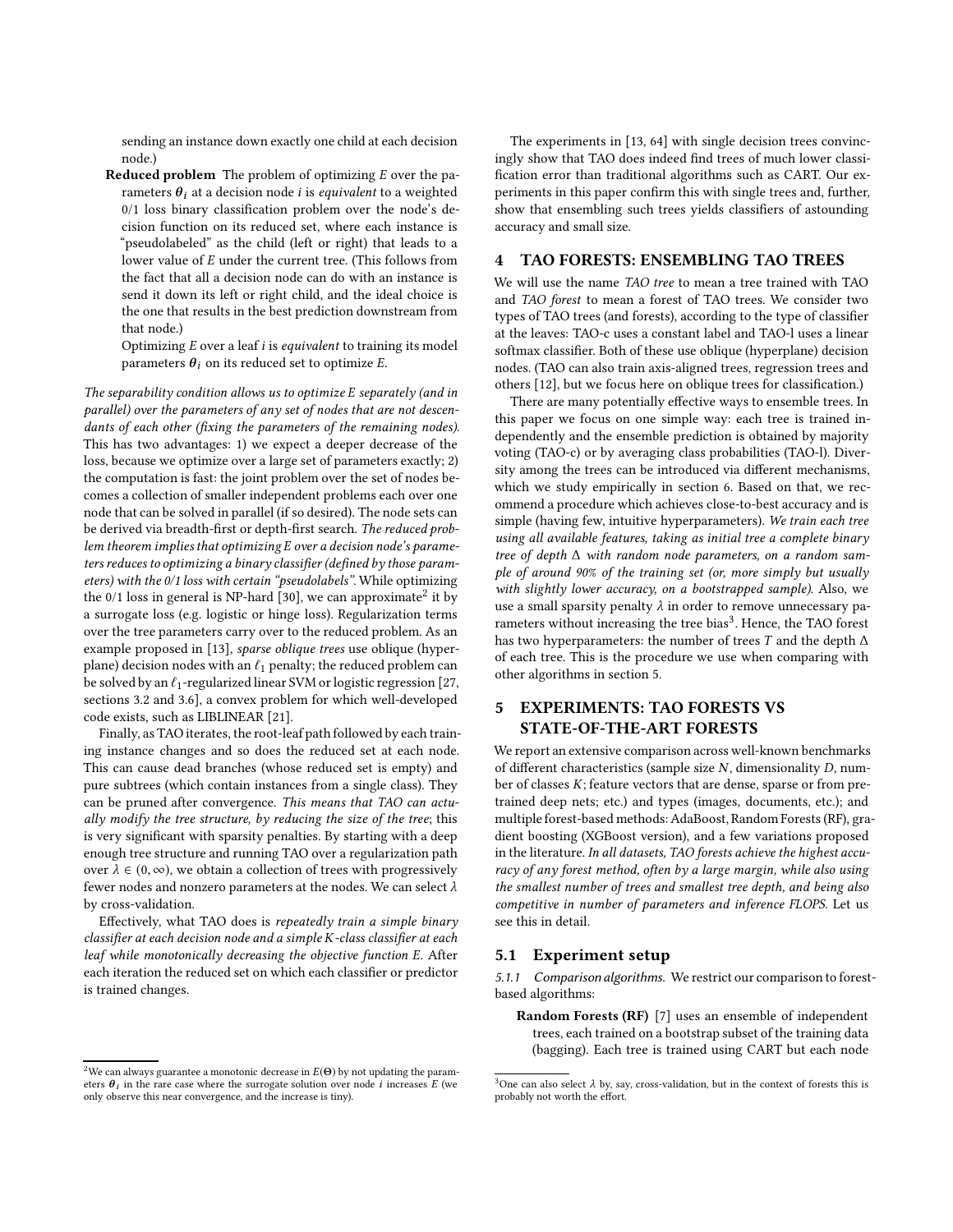sending an instance down exactly one child at each decision node.)

Reduced problem The problem of optimizing E over the parameters  $\theta_i$  at a decision node *i* is *equivalent* to a weighted 0/1 loss binary classification problem over the node's decision function on its reduced set, where each instance is "pseudolabeled" as the child (left or right) that leads to a lower value of E under the current tree. (This follows from the fact that all a decision node can do with an instance is send it down its left or right child, and the ideal choice is the one that results in the best prediction downstream from that node.)

Optimizing  $E$  over a leaf  $i$  is *equivalent* to training its model parameters  $\theta_i$  on its reduced set to optimize E.

The separability condition allows us to optimize E separately (and in parallel) over the parameters of any set of nodes that are not descendants of each other (fixing the parameters of the remaining nodes). This has two advantages: 1) we expect a deeper decrease of the loss, because we optimize over a large set of parameters exactly; 2) the computation is fast: the joint problem over the set of nodes becomes a collection of smaller independent problems each over one node that can be solved in parallel (if so desired). The node sets can be derived via breadth-first or depth-first search. The reduced problem theorem implies that optimizing E over a decision node's parameters reduces to optimizing a binary classifier (defined by those parameters) with the 0/1 loss with certain "pseudolabels". While optimizing the 0/1 loss in general is NP-hard [\[30\]](#page-9-34), we can approximate<sup>[2](#page-2-2)</sup> it by a surrogate loss (e.g. logistic or hinge loss). Regularization terms over the tree parameters carry over to the reduced problem. As an example proposed in [\[13\]](#page-9-8), sparse oblique trees use oblique (hyperplane) decision nodes with an  $\ell_1$  penalty; the reduced problem can be solved by an  $\ell_1$ -regularized linear SVM or logistic regression [\[27](#page-9-33), sections 3.2 and 3.6], a convex problem for which well-developed code exists, such as LIBLINEAR [\[21](#page-9-35)].

Finally, as TAO iterates, the root-leaf path followed by each training instance changes and so does the reduced set at each node. This can cause dead branches (whose reduced set is empty) and pure subtrees (which contain instances from a single class). They can be pruned after convergence. This means that TAO can actually modify the tree structure, by reducing the size of the tree; this is very significant with sparsity penalties. By starting with a deep enough tree structure and running TAO over a regularization path over  $\lambda \in (0, \infty)$ , we obtain a collection of trees with progressively fewer nodes and nonzero parameters at the nodes. We can select  $\lambda$ by cross-validation.

Effectively, what TAO does is repeatedly train a simple binary classifier at each decision node and a simple K-class classifier at each leaf while monotonically decreasing the objective function E. After each iteration the reduced set on which each classifier or predictor is trained changes.

The experiments in [\[13,](#page-9-8) [64](#page-9-36)] with single decision trees convincingly show that TAO does indeed find trees of much lower classification error than traditional algorithms such as CART. Our experiments in this paper confirm this with single trees and, further, show that ensembling such trees yields classifiers of astounding accuracy and small size.

### <span id="page-2-1"></span>4 TAO FORESTS: ENSEMBLING TAO TREES

We will use the name TAO tree to mean a tree trained with TAO and TAO forest to mean a forest of TAO trees. We consider two types of TAO trees (and forests), according to the type of classifier at the leaves: TAO-c uses a constant label and TAO-l uses a linear softmax classifier. Both of these use oblique (hyperplane) decision nodes. (TAO can also train axis-aligned trees, regression trees and others [\[12\]](#page-8-5), but we focus here on oblique trees for classification.)

There are many potentially effective ways to ensemble trees. In this paper we focus on one simple way: each tree is trained independently and the ensemble prediction is obtained by majority voting (TAO-c) or by averaging class probabilities (TAO-l). Diversity among the trees can be introduced via different mechanisms, which we study empirically in section [6.](#page-4-0) Based on that, we recommend a procedure which achieves close-to-best accuracy and is simple (having few, intuitive hyperparameters). We train each tree using all available features, taking as initial tree a complete binary tree of depth ∆ with random node parameters, on a random sample of around 90% of the training set (or, more simply but usually with slightly lower accuracy, on a bootstrapped sample). Also, we use a small sparsity penalty  $\lambda$  in order to remove unnecessary pa-rameters without increasing the tree bias<sup>[3](#page-2-3)</sup>. Hence, the TAO forest has two hyperparameters: the number of trees T and the depth  $\Delta$ of each tree. This is the procedure we use when comparing with other algorithms in section [5.](#page-2-0)

# <span id="page-2-0"></span>5 EXPERIMENTS: TAO FORESTS VS STATE-OF-THE-ART FORESTS

We report an extensive comparison across well-known benchmarks of different characteristics (sample size  $N$ , dimensionality  $D$ , number of classes K; feature vectors that are dense, sparse or from pretrained deep nets; etc.) and types (images, documents, etc.); and multiple forest-based methods: AdaBoost, Random Forests (RF), gradient boosting (XGBoost version), and a few variations proposed in the literature. In all datasets, TAO forests achieve the highest accuracy of any forest method, often by a large margin, while also using the smallest number of trees and smallest tree depth, and being also competitive in number of parameters and inference FLOPS. Let us see this in detail.

#### 5.1 Experiment setup

*5.1.1 Comparison algorithms.* We restrict our comparison to forestbased algorithms:

Random Forests (RF) [\[7](#page-8-3)] uses an ensemble of independent trees, each trained on a bootstrap subset of the training data (bagging). Each tree is trained using CART but each node

<span id="page-2-2"></span><sup>&</sup>lt;sup>2</sup>We can always guarantee a monotonic decrease in  $E(\Theta)$  by not updating the parameters  $\theta_i$  in the rare case where the surrogate solution over node i increases E (we only observe this near convergence, and the increase is tiny).

<span id="page-2-3"></span><sup>&</sup>lt;sup>3</sup>One can also select  $\lambda$  by, say, cross-validation, but in the context of forests this is probably not worth the effort.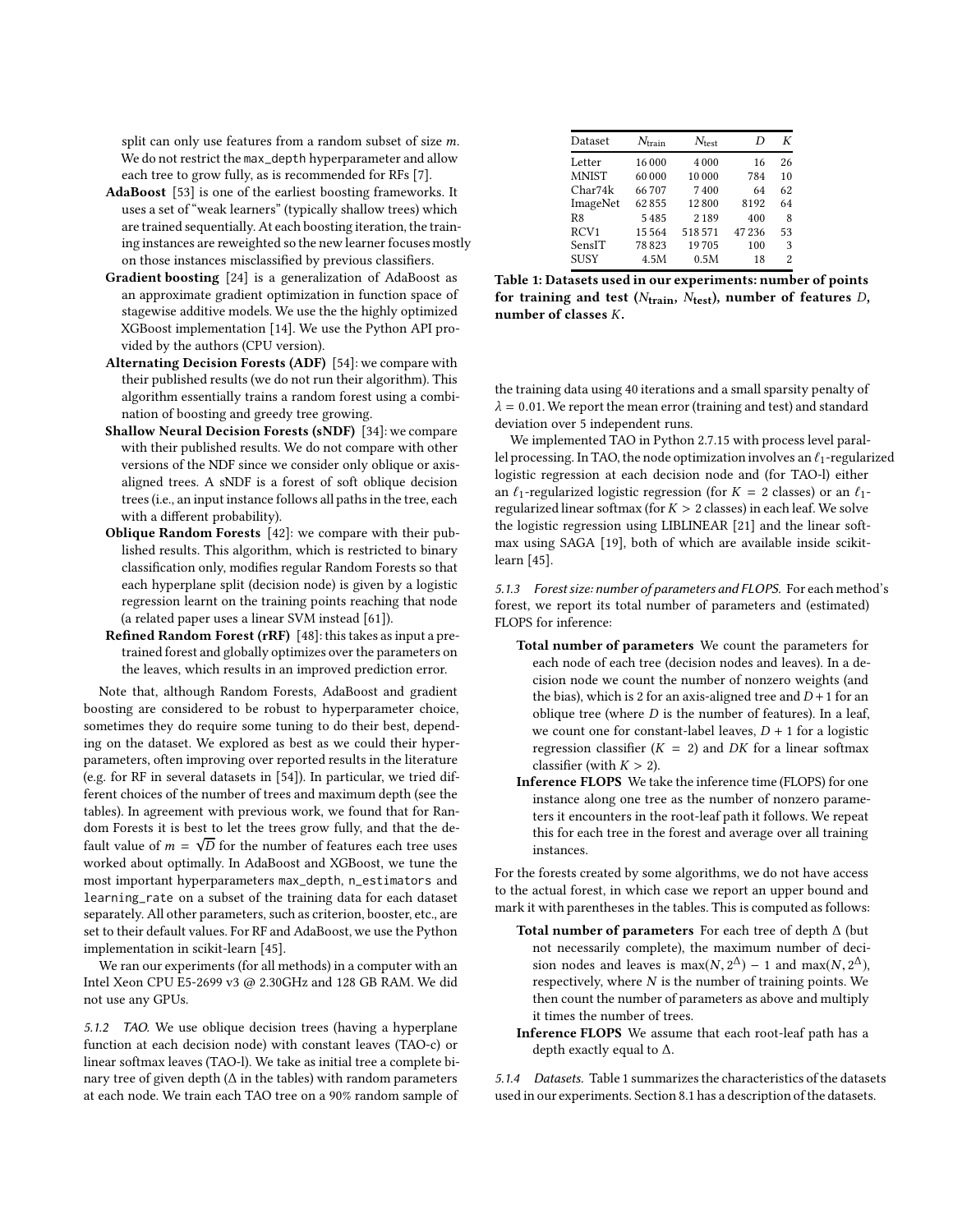split can only use features from a random subset of size m. We do not restrict the max\_depth hyperparameter and allow each tree to grow fully, as is recommended for RFs [\[7\]](#page-8-3).

- AdaBoost [\[53](#page-9-7)] is one of the earliest boosting frameworks. It uses a set of "weak learners" (typically shallow trees) which are trained sequentially. At each boosting iteration, the training instances are reweighted so the new learner focuses mostly on those instances misclassified by previous classifiers.
- Gradient boosting [\[24\]](#page-9-6) is a generalization of AdaBoost as an approximate gradient optimization in function space of stagewise additive models. We use the the highly optimized XGBoost implementation [\[14\]](#page-9-10). We use the Python API provided by the authors (CPU version).
- Alternating Decision Forests (ADF) [\[54\]](#page-9-3): we compare with their published results (we do not run their algorithm). This algorithm essentially trains a random forest using a combination of boosting and greedy tree growing.
- Shallow Neural Decision Forests (sNDF) [\[34\]](#page-9-30): we compare with their published results. We do not compare with other versions of the NDF since we consider only oblique or axisaligned trees. A sNDF is a forest of soft oblique decision trees (i.e., an input instance follows all paths in the tree, each with a different probability).
- Oblique Random Forests [\[42](#page-9-32)]: we compare with their published results. This algorithm, which is restricted to binary classification only, modifies regular Random Forests so that each hyperplane split (decision node) is given by a logistic regression learnt on the training points reaching that node (a related paper uses a linear SVM instead [\[61](#page-9-2)]).
- Refined Random Forest (rRF) [\[48\]](#page-9-37): this takes as input a pretrained forest and globally optimizes over the parameters on the leaves, which results in an improved prediction error.

Note that, although Random Forests, AdaBoost and gradient boosting are considered to be robust to hyperparameter choice, sometimes they do require some tuning to do their best, depending on the dataset. We explored as best as we could their hyperparameters, often improving over reported results in the literature (e.g. for RF in several datasets in [\[54\]](#page-9-3)). In particular, we tried different choices of the number of trees and maximum depth (see the tables). In agreement with previous work, we found that for Random Forests it is best to let the trees grow fully, and that the default value of  $m = \sqrt{D}$  for the number of features each tree uses worked about optimally. In AdaBoost and XGBoost, we tune the most important hyperparameters max\_depth, n\_estimators and learning\_rate on a subset of the training data for each dataset separately. All other parameters, such as criterion, booster, etc., are set to their default values. For RF and AdaBoost, we use the Python implementation in scikit-learn [\[45\]](#page-9-21).

We ran our experiments (for all methods) in a computer with an Intel Xeon CPU E5-2699 v3 @ 2.30GHz and 128 GB RAM. We did not use any GPUs.

*5.1.2 TAO.* We use oblique decision trees (having a hyperplane function at each decision node) with constant leaves (TAO-c) or linear softmax leaves (TAO-l). We take as initial tree a complete binary tree of given depth ( $\Delta$  in the tables) with random parameters at each node. We train each TAO tree on a 90% random sample of

<span id="page-3-0"></span>

| Dataset          | $N_{\text{train}}$ | $N_{\text{test}}$ | D     | К  |
|------------------|--------------------|-------------------|-------|----|
| Letter           | 16000              | 4000              | 16    | 26 |
| <b>MNIST</b>     | 60000              | 10000             | 784   | 10 |
| Char74k          | 66707              | 7400              | 64    | 62 |
| ImageNet         | 62855              | 12800             | 8192  | 64 |
| R8               | 5485               | 2189              | 400   | 8  |
| RCV <sub>1</sub> | 15564              | 518571            | 47236 | 53 |
| SensIT           | 78823              | 19705             | 100   | 3  |
| <b>SUSY</b>      | 4.5M               | 0.5M              | 18    | 2  |

Table 1: Datasets used in our experiments: number of points for training and test ( $N_{\text{train}}$ ,  $N_{\text{test}}$ ), number of features  $D$ , number of classes K.

the training data using 40 iterations and a small sparsity penalty of  $\lambda = 0.01$ . We report the mean error (training and test) and standard deviation over 5 independent runs.

We implemented TAO in Python 2.7.15 with process level parallel processing. In TAO, the node optimization involves an  $\ell_1$ -regularized logistic regression at each decision node and (for TAO-l) either an  $\ell_1$ -regularized logistic regression (for  $K = 2$  classes) or an  $\ell_1$ regularized linear softmax (for  $K > 2$  classes) in each leaf. We solve the logistic regression using LIBLINEAR [\[21](#page-9-35)] and the linear softmax using SAGA [\[19](#page-9-38)], both of which are available inside scikitlearn [\[45\]](#page-9-21).

*5.1.3 Forest size: number of parameters and FLOPS.* For each method's forest, we report its total number of parameters and (estimated) FLOPS for inference:

- Total number of parameters We count the parameters for each node of each tree (decision nodes and leaves). In a decision node we count the number of nonzero weights (and the bias), which is 2 for an axis-aligned tree and  $D+1$  for an oblique tree (where  $D$  is the number of features). In a leaf, we count one for constant-label leaves,  $D + 1$  for a logistic regression classifier  $(K = 2)$  and DK for a linear softmax classifier (with  $K > 2$ ).
- Inference FLOPS We take the inference time (FLOPS) for one instance along one tree as the number of nonzero parameters it encounters in the root-leaf path it follows. We repeat this for each tree in the forest and average over all training instances.

For the forests created by some algorithms, we do not have access to the actual forest, in which case we report an upper bound and mark it with parentheses in the tables. This is computed as follows:

- Total number of parameters For each tree of depth ∆ (but not necessarily complete), the maximum number of decision nodes and leaves is  $max(N, 2^{\Delta}) - 1$  and  $max(N, 2^{\Delta})$ , respectively, where N is the number of training points. We then count the number of parameters as above and multiply it times the number of trees.
- Inference FLOPS We assume that each root-leaf path has a depth exactly equal to ∆.

*5.1.4 Datasets.* Table [1](#page-3-0) summarizes the characteristics of the datasets used in our experiments. Section [8.1 h](#page-10-0)as a description of the datasets.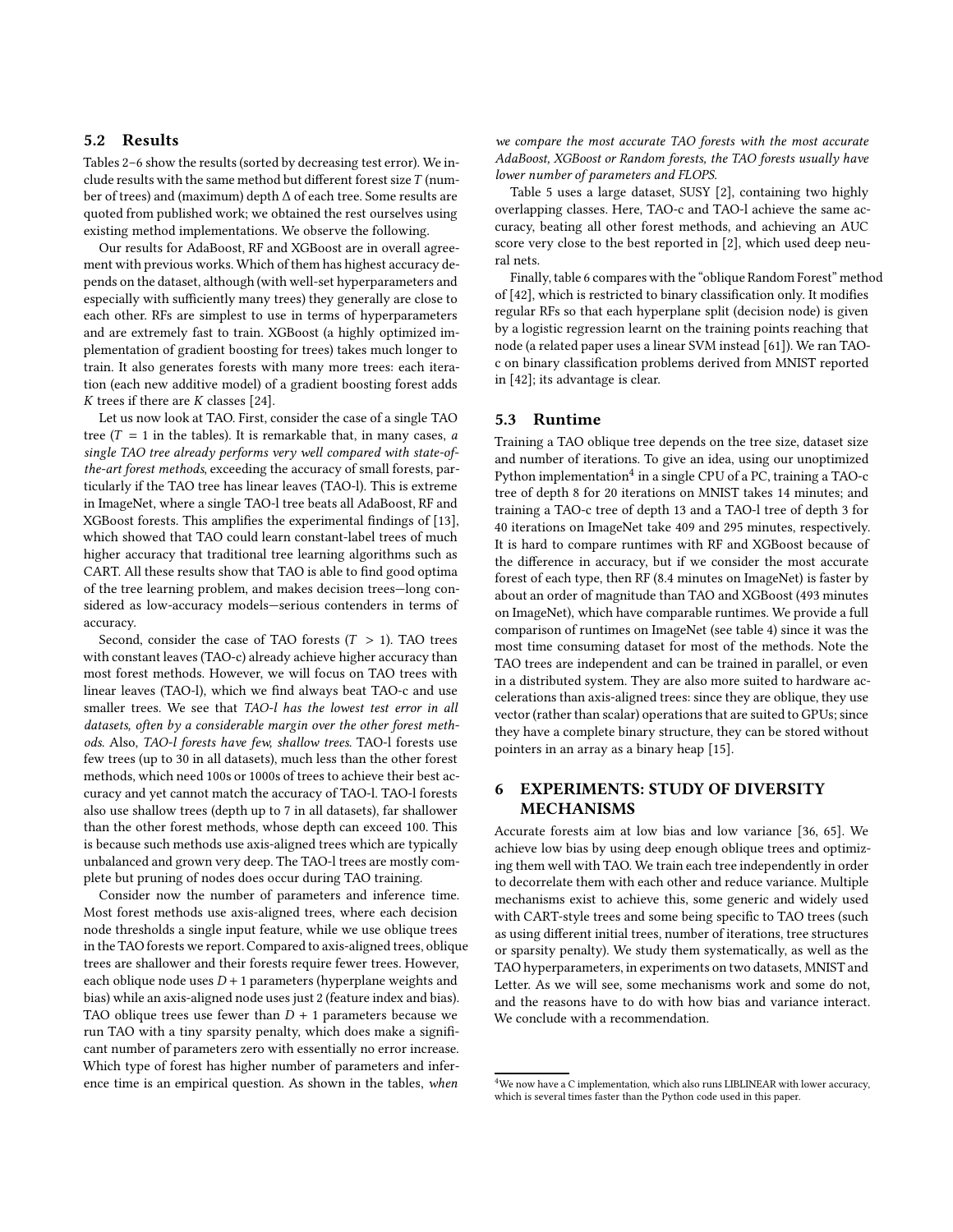### 5.2 Results

Tables [2–](#page-5-0)[6](#page-6-0) show the results (sorted by decreasing test error). We include results with the same method but different forest size  $T$  (number of trees) and (maximum) depth ∆ of each tree. Some results are quoted from published work; we obtained the rest ourselves using existing method implementations. We observe the following.

Our results for AdaBoost, RF and XGBoost are in overall agreement with previous works. Which of them has highest accuracy depends on the dataset, although (with well-set hyperparameters and especially with sufficiently many trees) they generally are close to each other. RFs are simplest to use in terms of hyperparameters and are extremely fast to train. XGBoost (a highly optimized implementation of gradient boosting for trees) takes much longer to train. It also generates forests with many more trees: each iteration (each new additive model) of a gradient boosting forest adds  $K$  trees if there are  $K$  classes [\[24\]](#page-9-6).

Let us now look at TAO. First, consider the case of a single TAO tree ( $T = 1$  in the tables). It is remarkable that, in many cases, a single TAO tree already performs very well compared with state-ofthe-art forest methods, exceeding the accuracy of small forests, particularly if the TAO tree has linear leaves (TAO-l). This is extreme in ImageNet, where a single TAO-l tree beats all AdaBoost, RF and XGBoost forests. This amplifies the experimental findings of [\[13\]](#page-9-8), which showed that TAO could learn constant-label trees of much higher accuracy that traditional tree learning algorithms such as CART. All these results show that TAO is able to find good optima of the tree learning problem, and makes decision trees—long considered as low-accuracy models—serious contenders in terms of accuracy.

Second, consider the case of TAO forests  $(T > 1)$ . TAO trees with constant leaves (TAO-c) already achieve higher accuracy than most forest methods. However, we will focus on TAO trees with linear leaves (TAO-l), which we find always beat TAO-c and use smaller trees. We see that TAO-l has the lowest test error in all datasets, often by a considerable margin over the other forest methods. Also, TAO-l forests have few, shallow trees. TAO-l forests use few trees (up to 30 in all datasets), much less than the other forest methods, which need 100s or 1000s of trees to achieve their best accuracy and yet cannot match the accuracy of TAO-l. TAO-l forests also use shallow trees (depth up to 7 in all datasets), far shallower than the other forest methods, whose depth can exceed 100. This is because such methods use axis-aligned trees which are typically unbalanced and grown very deep. The TAO-l trees are mostly complete but pruning of nodes does occur during TAO training.

Consider now the number of parameters and inference time. Most forest methods use axis-aligned trees, where each decision node thresholds a single input feature, while we use oblique trees in the TAO forests we report. Compared to axis-aligned trees, oblique trees are shallower and their forests require fewer trees. However, each oblique node uses  $D + 1$  parameters (hyperplane weights and bias) while an axis-aligned node uses just 2 (feature index and bias). TAO oblique trees use fewer than  $D + 1$  parameters because we run TAO with a tiny sparsity penalty, which does make a significant number of parameters zero with essentially no error increase. Which type of forest has higher number of parameters and inference time is an empirical question. As shown in the tables, when

we compare the most accurate TAO forests with the most accurate AdaBoost, XGBoost or Random forests, the TAO forests usually have lower number of parameters and FLOPS.

Table [5](#page-6-1) uses a large dataset, SUSY [\[2](#page-8-11)], containing two highly overlapping classes. Here, TAO-c and TAO-l achieve the same accuracy, beating all other forest methods, and achieving an AUC score very close to the best reported in [\[2](#page-8-11)], which used deep neural nets.

Finally, table [6](#page-6-0) compares with the "oblique Random Forest" method of [\[42\]](#page-9-32), which is restricted to binary classification only. It modifies regular RFs so that each hyperplane split (decision node) is given by a logistic regression learnt on the training points reaching that node (a related paper uses a linear SVM instead [\[61\]](#page-9-2)). We ran TAOc on binary classification problems derived from MNIST reported in [\[42](#page-9-32)]; its advantage is clear.

### 5.3 Runtime

Training a TAO oblique tree depends on the tree size, dataset size and number of iterations. To give an idea, using our unoptimized Python implementation<sup>[4](#page-4-1)</sup> in a single CPU of a PC, training a TAO-c tree of depth 8 for 20 iterations on MNIST takes 14 minutes; and training a TAO-c tree of depth 13 and a TAO-l tree of depth 3 for 40 iterations on ImageNet take 409 and 295 minutes, respectively. It is hard to compare runtimes with RF and XGBoost because of the difference in accuracy, but if we consider the most accurate forest of each type, then RF (8.4 minutes on ImageNet) is faster by about an order of magnitude than TAO and XGBoost (493 minutes on ImageNet), which have comparable runtimes. We provide a full comparison of runtimes on ImageNet (see table [4\)](#page-5-1) since it was the most time consuming dataset for most of the methods. Note the TAO trees are independent and can be trained in parallel, or even in a distributed system. They are also more suited to hardware accelerations than axis-aligned trees: since they are oblique, they use vector (rather than scalar) operations that are suited to GPUs; since they have a complete binary structure, they can be stored without pointers in an array as a binary heap [\[15\]](#page-9-39).

# <span id="page-4-0"></span>6 EXPERIMENTS: STUDY OF DIVERSITY MECHANISMS

Accurate forests aim at low bias and low variance [\[36](#page-9-9), [65\]](#page-9-11). We achieve low bias by using deep enough oblique trees and optimizing them well with TAO. We train each tree independently in order to decorrelate them with each other and reduce variance. Multiple mechanisms exist to achieve this, some generic and widely used with CART-style trees and some being specific to TAO trees (such as using different initial trees, number of iterations, tree structures or sparsity penalty). We study them systematically, as well as the TAO hyperparameters, in experiments on two datasets, MNIST and Letter. As we will see, some mechanisms work and some do not, and the reasons have to do with how bias and variance interact. We conclude with a recommendation.

<span id="page-4-1"></span><sup>&</sup>lt;sup>4</sup>We now have a C implementation, which also runs LIBLINEAR with lower accuracy, which is several times faster than the Python code used in this paper.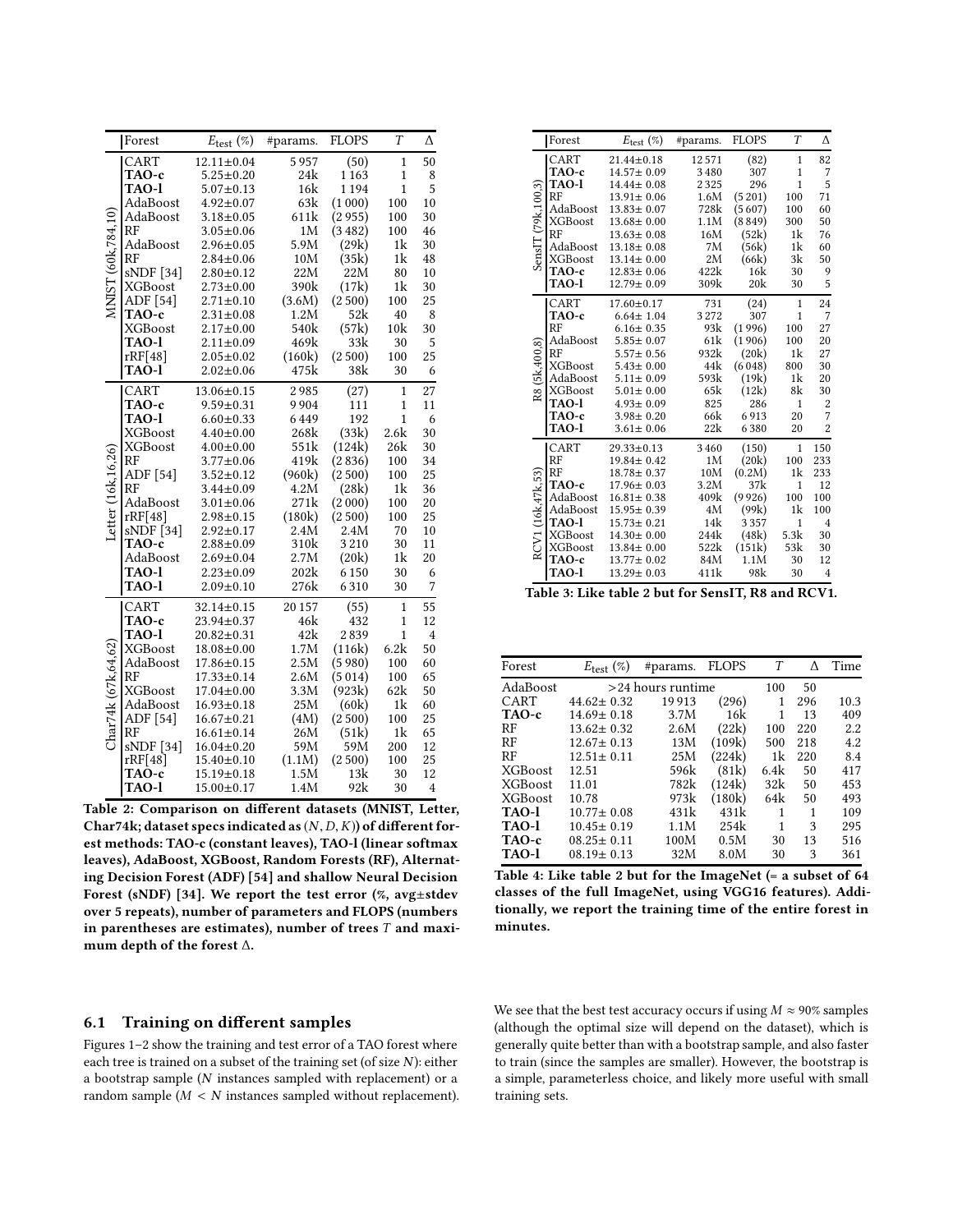<span id="page-5-0"></span>

|                     | Forest         | $E_{\text{test}}(\%)$ | #params. | <b>FLOPS</b> | $\overline{T}$ | Δ              |
|---------------------|----------------|-----------------------|----------|--------------|----------------|----------------|
|                     | CART           | $12.11 \pm 0.04$      | 5957     | (50)         | $\mathbf{1}$   | 50             |
|                     | TAO-c          | $5.25 \pm 0.20$       | 24k      | 1163         | $\mathbf{1}$   | 8              |
|                     | TAO-l          | $5.07 \pm 0.13$       | 16k      | 1194         | $\mathbf{1}$   | 5              |
|                     | AdaBoost       | $4.92 \pm 0.07$       | 63k      | (1000)       | 100            | 10             |
|                     | AdaBoost       | $3.18 \pm 0.05$       | 611k     | (2955)       | 100            | 30             |
|                     | RF             | $3.05 \pm 0.06$       | 1M       | (3482)       | 100            | 46             |
| MNIST (60k.784.10)  | AdaBoost       | $2.96 \pm 0.05$       | 5.9M     | (29k)        | 1k             | 30             |
|                     | RF             | $2.84 \pm 0.06$       | 10M      | (35k)        | 1 <sup>k</sup> | 48             |
|                     | sNDF [34]      | $2.80 + 0.12$         | 22M      | 22M          | 80             | 10             |
|                     | <b>XGBoost</b> | $2.73 \pm 0.00$       | 390k     | (17k)        | 1 <sup>k</sup> | 30             |
|                     | ADF [54]       | $2.71 \pm 0.10$       | (3.6M)   | (2500)       | 100            | 25             |
|                     | TAO-c          | $2.31 \pm 0.08$       | 1.2M     | 52k          | 40             | 8              |
|                     | <b>XGBoost</b> | $2.17 + 0.00$         | 540k     | (57k)        | 10k            | 30             |
|                     | TAO-1          | $2.11 \pm 0.09$       | 469k     | 33k          | 30             | 5              |
|                     | rRF[48]        | $2.05 \pm 0.02$       | (160k)   | (2500)       | 100            | 25             |
|                     | <b>TAO-l</b>   | $2.02 \pm 0.06$       | 475k     | 38k          | 30             | 6              |
|                     | CART           | $13.06 \pm 0.15$      | 2985     | (27)         | 1              | 27             |
|                     | TAO-c          | $9.59 \pm 0.31$       | 9904     | 111          | $\mathbf{1}$   | 11             |
|                     | TAO-1          | $6.60 \pm 0.33$       | 6449     | 192          | $\mathbf{1}$   | 6              |
|                     | <b>XGBoost</b> | $4.40 \pm 0.00$       | 268k     | (33k)        | 2.6k           | 30             |
|                     | <b>XGBoost</b> | $4.00 \pm 0.00$       | 551k     | (124k)       | 26k            | 30             |
| Letter (16k.16.26)  | <b>RF</b>      | $3.77 \pm 0.06$       | 419k     | (2836)       | 100            | 34             |
|                     | ADF [54]       | $3.52 \pm 0.12$       | (960k)   | (2500)       | 100            | 25             |
|                     | RF             | $3.44 \pm 0.09$       | 4.2M     | (28k)        | 1 <sup>k</sup> | 36             |
|                     | AdaBoost       | $3.01 \pm 0.06$       | 271k     | (2 000)      | 100            | 20             |
|                     | rRF[48]        | $2.98 \pm 0.15$       | (180k)   | (2500)       | 100            | 25             |
|                     | sNDF [34]      | $2.92 \pm 0.17$       | 2.4M     | 2.4M         | 70             | 10             |
|                     | TAO-c          | $2.88 \pm 0.09$       | 310k     | 3210         | 30             | 11             |
|                     | AdaBoost       | $2.69 + 0.04$         | 2.7M     | (20k)        | 1k             | 20             |
|                     | <b>TAO-l</b>   | $2.23 \pm 0.09$       | 202k     | 6150         | 30             | 6              |
|                     | <b>TAO-l</b>   | $2.09 + 0.10$         | 276k     | 6310         | 30             | 7              |
|                     | CART           | $32.14 \pm 0.15$      | 20 157   | (55)         | $\mathbf{1}$   | 55             |
|                     | TAO-c          | 23.94±0.37            | 46k      | 432          | $\mathbf{1}$   | 12             |
|                     | TAO-1          | $20.82 \pm 0.31$      | 42k      | 2839         | $\mathbf{1}$   | $\overline{4}$ |
|                     | <b>XGBoost</b> | $18.08 + 0.00$        | 1.7M     | (116k)       | 6.2k           | 50             |
|                     | AdaBoost       | $17.86 \pm 0.15$      | 2.5M     | (5980)       | 100            | 60             |
|                     | <b>RF</b>      | $17.33 \pm 0.14$      | 2.6M     | (5014)       | 100            | 65             |
|                     | <b>XGBoost</b> | $17.04 \pm 0.00$      | 3.3M     | (923k)       | 62k            | 50             |
|                     | AdaBoost       | $16.93 \pm 0.18$      | 25M      | (60k)        | 1 <sup>k</sup> | 60             |
|                     | ADF [54]       | $16.67 \pm 0.21$      | (4M)     | (2500)       | 100            | 25             |
| Char74k (67k.64.62) | RF             | $16.61 \pm 0.14$      | 26M      | (51k)        | 1k             | 65             |
|                     | sNDF [34]      | $16.04 \pm 0.20$      | 59M      | 59M          | 200            | 12             |
|                     | rRF[48]        | $15.40 \pm 0.10$      | (1.1M)   | (2500)       | 100            | 25             |
|                     | TAO-c          | $15.19 \pm 0.18$      | 1.5M     | 13k          | 30             | 12             |
|                     | <b>TAO-l</b>   | $15.00 \pm 0.17$      | 1.4M     | 92k          | 30             | 4              |

Table 2: Comparison on different datasets (MNIST, Letter, Char74k; dataset specs indicated as  $(N, D, K)$  of different forest methods: TAO-c (constant leaves), TAO-l (linear softmax leaves), AdaBoost, XGBoost, Random Forests (RF), Alternating Decision Forest (ADF) [\[54](#page-9-3)] and shallow Neural Decision Forest (sNDF) [\[34](#page-9-30)]. We report the test error  $(\%$ , avg $\pm$ stdev over 5 repeats), number of parameters and FLOPS (numbers in parentheses are estimates), number of trees  $T$  and maximum depth of the forest ∆.

#### 6.1 Training on different samples

Figures [1–](#page-6-2)[2](#page-6-3) show the training and test error of a TAO forest where each tree is trained on a subset of the training set (of size N): either a bootstrap sample (N instances sampled with replacement) or a random sample  $(M < N$  instances sampled without replacement).

|                    | Forest         | $E_{\text{test}}(\%)$ | #params. | <b>FLOPS</b> | T            | Δ              |
|--------------------|----------------|-----------------------|----------|--------------|--------------|----------------|
|                    | CART           | $21.44 \pm 0.18$      | 12571    | (82)         | 1            | 82             |
|                    | TAO-c          | $14.57 \pm 0.09$      | 3 4 8 0  | 307          | $\mathbf{1}$ | 7              |
|                    | <b>TAO-l</b>   | $14.44 \pm 0.08$      | 2325     | 296          | $\mathbf{1}$ | 5              |
|                    | <b>RF</b>      | $13.91 \pm 0.06$      | 1.6M     | (5201)       | 100          | 71             |
|                    | AdaBoost       | $13.83 \pm 0.07$      | 728k     | (5607)       | 100          | 60             |
| SensIT(79k, 100.3) | <b>XGBoost</b> | $13.68 \pm 0.00$      | 1.1M     | (8849)       | 300          | 50             |
|                    | RF             | $13.63 \pm 0.08$      | 16M      | (52k)        | 1k           | 76             |
|                    | AdaBoost       | $13.18 \pm 0.08$      | 7M       | (56k)        | 1k           | 60             |
|                    | <b>XGBoost</b> | $13.14 \pm 0.00$      | 2M       | (66k)        | 3k           | 50             |
|                    | TAO-c          | $12.83 \pm 0.06$      | 422k     | 16k          | 30           | 9              |
|                    | <b>TAO-l</b>   | $12.79 \pm 0.09$      | 309k     | 20k          | 30           | 5              |
|                    | CART           | $17.60 \pm 0.17$      | 731      | (24)         | 1            | 24             |
|                    | TAO-c          | $6.64 \pm 1.04$       | 3272     | 307          | 1            | 7              |
|                    | <b>RF</b>      | $6.16 \pm 0.35$       | 93k      | (1996)       | 100          | 27             |
|                    | AdaBoost       | $5.85 \pm 0.07$       | 61k      | (1906)       | 100          | 20             |
| (5k.400.8)         | <b>RF</b>      | $5.57 \pm 0.56$       | 932k     | (20k)        | 1k           | 27             |
|                    | <b>XGBoost</b> | $5.43 \pm 0.00$       | 44k      | (6048)       | 800          | 30             |
|                    | AdaBoost       | $5.11 \pm 0.09$       | 593k     | (19k)        | 1k           | 20             |
| $\frac{8}{3}$      | <b>XGBoost</b> | $5.01 \pm 0.00$       | 65k      | (12k)        | 8k           | 30             |
|                    | <b>TAO-l</b>   | $4.93 \pm 0.09$       | 825      | 286          | $\mathbf{1}$ | $\overline{c}$ |
|                    | TAO-c          | $3.98 \pm 0.20$       | 66k      | 6913         | 20           | 7              |
|                    | TAO-l          | $3.61 \pm 0.06$       | 22k      | 6380         | 20           | $\overline{2}$ |
|                    | CART           | $29.33 \pm 0.13$      | 3460     | (150)        | 1            | 150            |
|                    | RF             | $19.84 \pm 0.42$      | 1M       | (20k)        | 100          | 233            |
|                    | <b>RF</b>      | $18.78 \pm 0.37$      | 10M      | (0.2M)       | 1k           | 233            |
|                    | TAO-c          | $17.96 \pm 0.03$      | 3.2M     | 37k          | $\mathbf{1}$ | 12             |
|                    | AdaBoost       | $16.81 \pm 0.38$      | 409k     | (9926)       | 100          | 100            |
|                    | AdaBoost       | $15.95 \pm 0.39$      | 4M       | (99k)        | 1k           | 100            |
|                    | TAO-l          | $15.73 \pm 0.21$      | 14k      | 3357         | $\mathbf{1}$ | $\overline{4}$ |
|                    | <b>XGBoost</b> | $14.30 \pm 0.00$      | 244k     | (48k)        | 5.3k         | 30             |
| RCV1 (16k.47k.53)  | <b>XGBoost</b> | $13.84 \pm 0.00$      | 522k     | (151k)       | 53k          | 30             |
|                    | TAO-c          | $13.77 \pm 0.02$      | 84M      | 1.1M         | 30           | 12             |
|                    | <b>TAO-l</b>   | $13.29 \pm 0.03$      | 411k     | 98k          | 30           | $\overline{4}$ |

Table 3: Like table [2](#page-5-0) but for SensIT, R8 and RCV1.

<span id="page-5-1"></span>

| Forest         | $E_{\text{test}}(\%)$ | #params.          | <b>FLOPS</b> | T    | Λ   | Time |
|----------------|-----------------------|-------------------|--------------|------|-----|------|
| AdaBoost       |                       | >24 hours runtime |              | 100  | 50  |      |
| CART           | $44.62 \pm 0.32$      | 19913             | (296)        | 1    | 296 | 10.3 |
| TAO-c          | $14.69 \pm 0.18$      | 3.7M              | 16k          | 1    | 13  | 409  |
| RF             | $13.62 \pm 0.32$      | 2.6M              | (22k)        | 100  | 220 | 2.2  |
| RF             | $12.67 \pm 0.13$      | 13M               | (109k)       | 500  | 218 | 4.2  |
| RF             | $12.51 \pm 0.11$      | 25M               | (224k)       | 1k   | 220 | 8.4  |
| <b>XGBoost</b> | 12.51                 | 596k              | (81k)        | 6.4k | 50  | 417  |
| <b>XGBoost</b> | 11.01                 | 782k              | (124k)       | 32k  | 50  | 453  |
| <b>XGBoost</b> | 10.78                 | 973k              | (180k)       | 64k  | 50  | 493  |
| TAO-l          | $10.77 \pm 0.08$      | 431k              | 431k         | 1    | 1   | 109  |
| TAO-l          | $10.45 \pm 0.19$      | 1.1M              | 254k         | 1    | 3   | 295  |
| TAO-c          | $08.25 \pm 0.11$      | 100M              | 0.5M         | 30   | 13  | 516  |
| TAO-l          | $08.19 \pm 0.13$      | 32M               | 8.0M         | 30   | 3   | 361  |

Table 4: Like table [2](#page-5-0) but for the ImageNet (= a subset of 64 classes of the full ImageNet, using VGG16 features). Additionally, we report the training time of the entire forest in minutes.

We see that the best test accuracy occurs if using  $M \approx 90\%$  samples (although the optimal size will depend on the dataset), which is generally quite better than with a bootstrap sample, and also faster to train (since the samples are smaller). However, the bootstrap is a simple, parameterless choice, and likely more useful with small training sets.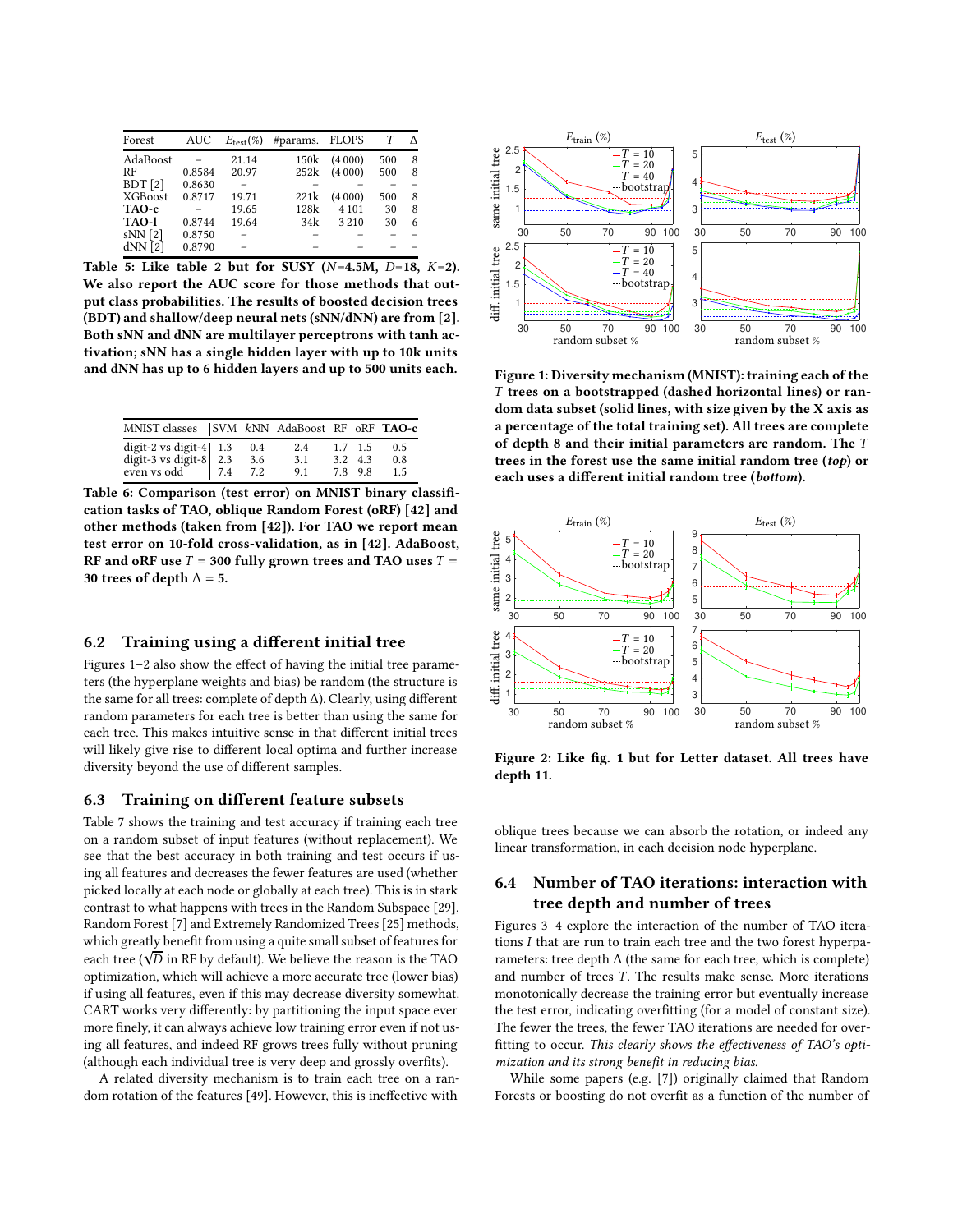<span id="page-6-1"></span>

| Forest         | AUC    | $E_{\text{test}}(\%)$ | #params. FLOPS |         |     |   |  |
|----------------|--------|-----------------------|----------------|---------|-----|---|--|
| AdaBoost       |        | 21.14                 | 150k           | (4000)  | 500 | 8 |  |
| RF             | 0.8584 | 20.97                 | 252k           | (4000)  | 500 | 8 |  |
| BDT[2]         | 0.8630 |                       |                |         |     |   |  |
| <b>XGBoost</b> | 0.8717 | 19.71                 | 221k           | (4000)  | 500 | 8 |  |
| TAO-c          |        | 19.65                 | 128k           | 4 1 0 1 | 30  | 8 |  |
| TAO-l          | 0.8744 | 19.64                 | 34k            | 3210    | 30  | 6 |  |
| $sNN$ [2]      | 0.8750 |                       |                |         |     |   |  |
| $dNN$ [2]      | 0.8790 |                       |                |         |     |   |  |

Table 5: Like table [2](#page-5-0) but for SUSY ( $N=4.5M$ ,  $D=18$ ,  $K=2$ ). We also report the AUC score for those methods that output class probabilities. The results of boosted decision trees (BDT) and shallow/deep neural nets (sNN/dNN) are from [\[2\]](#page-8-11). Both sNN and dNN are multilayer perceptrons with tanh activation; sNN has a single hidden layer with up to 10k units and dNN has up to 6 hidden layers and up to 500 units each.

<span id="page-6-0"></span>

| MNIST classes SVM kNN AdaBoost RF oRF TAO-c                         |     |                   |                   |                                 |                   |
|---------------------------------------------------------------------|-----|-------------------|-------------------|---------------------------------|-------------------|
| digit-2 vs digit-4 1.3<br>digit-3 vs digit-8 2.3<br>even vs odd 7.4 | 7.4 | 0.4<br>3.6<br>7.2 | 2.4<br>3.1<br>9.1 | $1.7$ 1.5<br>3.2 4.3<br>7.8 9.8 | 0.5<br>0.8<br>1.5 |

Table 6: Comparison (test error) on MNIST binary classification tasks of TAO, oblique Random Forest (oRF) [\[42\]](#page-9-32) and other methods (taken from [\[42\]](#page-9-32)). For TAO we report mean test error on 10-fold cross-validation, as in [\[42](#page-9-32)]. AdaBoost, RF and oRF use  $T = 300$  fully grown trees and TAO uses  $T =$ 30 trees of depth  $\Delta = 5$ .

# 6.2 Training using a different initial tree

Figures [1](#page-6-2)[–2](#page-6-3) also show the effect of having the initial tree parameters (the hyperplane weights and bias) be random (the structure is the same for all trees: complete of depth ∆). Clearly, using different random parameters for each tree is better than using the same for each tree. This makes intuitive sense in that different initial trees will likely give rise to different local optima and further increase diversity beyond the use of different samples.

#### 6.3 Training on different feature subsets

Table [7](#page-7-0) shows the training and test accuracy if training each tree on a random subset of input features (without replacement). We see that the best accuracy in both training and test occurs if using all features and decreases the fewer features are used (whether picked locally at each node or globally at each tree). This is in stark contrast to what happens with trees in the Random Subspace [\[29\]](#page-9-40), Random Forest [\[7](#page-8-3)] and Extremely Randomized Trees [\[25\]](#page-9-29) methods, which greatly benefit from using a quite small subset of features for each tree ( $\sqrt{\overline{D}}$  in RF by default). We believe the reason is the TAO optimization, which will achieve a more accurate tree (lower bias) if using all features, even if this may decrease diversity somewhat. CART works very differently: by partitioning the input space ever more finely, it can always achieve low training error even if not using all features, and indeed RF grows trees fully without pruning (although each individual tree is very deep and grossly overfits).

A related diversity mechanism is to train each tree on a random rotation of the features [\[49\]](#page-9-41). However, this is ineffective with

<span id="page-6-2"></span>

Figure 1: Diversity mechanism (MNIST): training each of the T trees on a bootstrapped (dashed horizontal lines) or random data subset (solid lines, with size given by the X axis as a percentage of the total training set). All trees are complete of depth 8 and their initial parameters are random. The T trees in the forest use the same initial random tree (top) or each uses a different initial random tree (bottom).

<span id="page-6-3"></span>

Figure 2: Like fig. [1](#page-6-2) but for Letter dataset. All trees have depth 11.

oblique trees because we can absorb the rotation, or indeed any linear transformation, in each decision node hyperplane.

# 6.4 Number of TAO iterations: interaction with tree depth and number of trees

Figures [3](#page-7-1)[–4](#page-7-2) explore the interaction of the number of TAO iterations I that are run to train each tree and the two forest hyperparameters: tree depth ∆ (the same for each tree, which is complete) and number of trees  $T$ . The results make sense. More iterations monotonically decrease the training error but eventually increase the test error, indicating overfitting (for a model of constant size). The fewer the trees, the fewer TAO iterations are needed for overfitting to occur. This clearly shows the effectiveness of TAO's optimization and its strong benefit in reducing bias.

While some papers (e.g. [\[7\]](#page-8-3)) originally claimed that Random Forests or boosting do not overfit as a function of the number of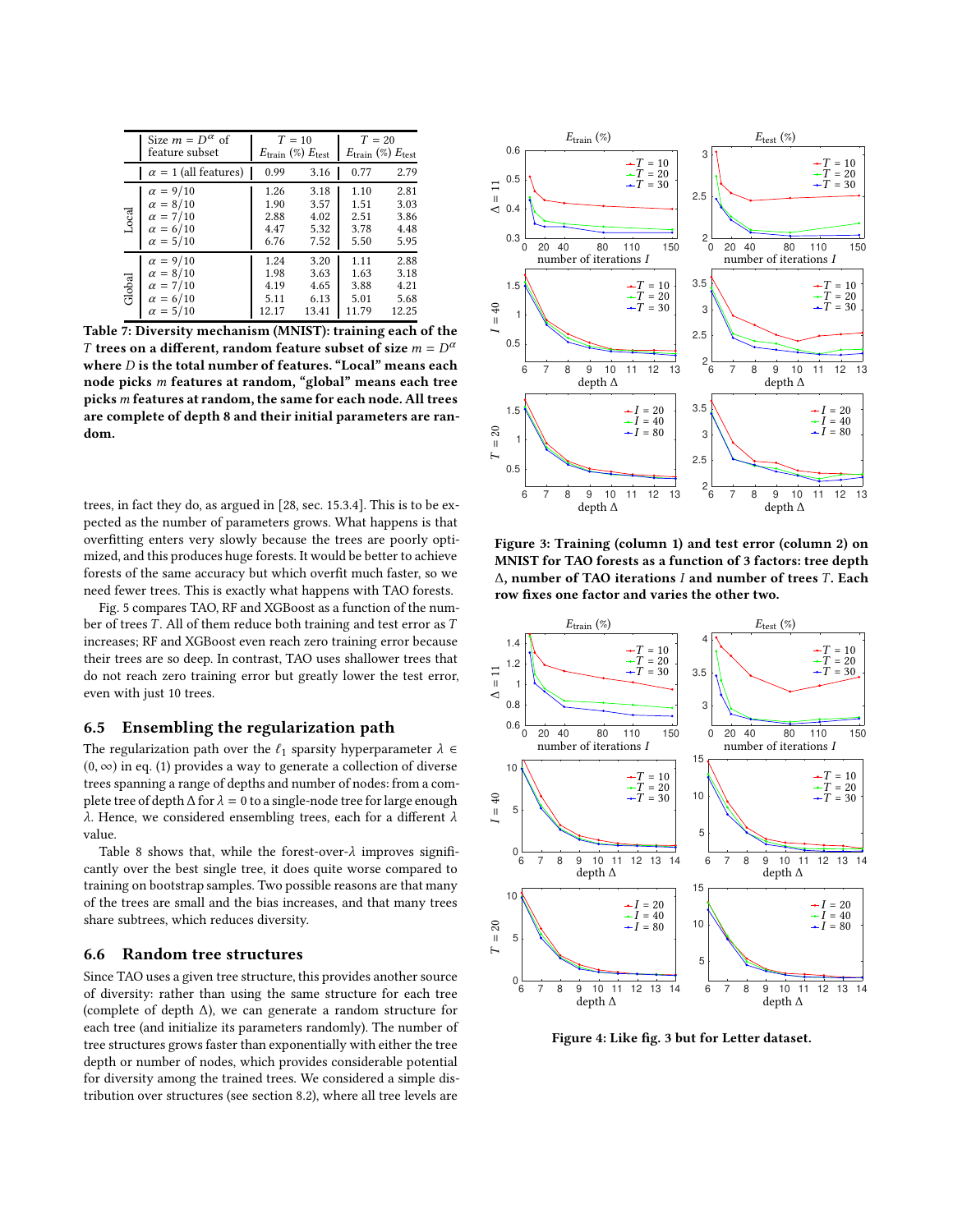<span id="page-7-0"></span>

|        | Size $m = D^{\alpha}$ of<br>feature subset                                                  | $T=10$<br>$E_{\text{train}}(\%) E_{\text{test}}$ |                                       | $T=20$                                | $E_{\text{train}}(\%) E_{\text{test}}$ |  |
|--------|---------------------------------------------------------------------------------------------|--------------------------------------------------|---------------------------------------|---------------------------------------|----------------------------------------|--|
|        | $\alpha = 1$ (all features)                                                                 | 0.99                                             | 3.16                                  | 0.77                                  | 2.79                                   |  |
| Local  | $\alpha = 9/10$<br>$\alpha = 8/10$<br>$\alpha = 7/10$<br>$\alpha = 6/10$<br>$\alpha=5/10$   | 1.26<br>1.90<br>2.88<br>4.47<br>6.76             | 3.18<br>3.57<br>4.02<br>5.32<br>7.52  | 1.10<br>1.51<br>2.51<br>3.78<br>5.50  | 2.81<br>3.03<br>3.86<br>4.48<br>5.95   |  |
| Global | $\alpha = 9/10$<br>$\alpha = 8/10$<br>$\alpha = 7/10$<br>$\alpha = 6/10$<br>$\alpha = 5/10$ | 1.24<br>1.98<br>4.19<br>5.11<br>12.17            | 3.20<br>3.63<br>4.65<br>6.13<br>13.41 | 1.11<br>1.63<br>3.88<br>5.01<br>11.79 | 2.88<br>3.18<br>4.21<br>5.68<br>7.73   |  |

Table 7: Diversity mechanism (MNIST): training each of the T trees on a different, random feature subset of size  $m = D^{\alpha}$ where  $D$  is the total number of features. "Local" means each node picks m features at random, "global" means each tree picks m features at random, the same for each node. All trees are complete of depth 8 and their initial parameters are random.

trees, in fact they do, as argued in [\[28](#page-9-0), sec. 15.3.4]. This is to be expected as the number of parameters grows. What happens is that overfitting enters very slowly because the trees are poorly optimized, and this produces huge forests. It would be better to achieve forests of the same accuracy but which overfit much faster, so we need fewer trees. This is exactly what happens with TAO forests.

Fig. [5](#page-8-12) compares TAO, RF and XGBoost as a function of the number of trees  $T$ . All of them reduce both training and test error as  $T$ increases; RF and XGBoost even reach zero training error because their trees are so deep. In contrast, TAO uses shallower trees that do not reach zero training error but greatly lower the test error, even with just 10 trees.

### 6.5 Ensembling the regularization path

The regularization path over the  $\ell_1$  sparsity hyperparameter  $\lambda \in$  $(0, \infty)$  in eq. [\(1\)](#page-1-3) provides a way to generate a collection of diverse trees spanning a range of depths and number of nodes: from a complete tree of depth  $\Delta$  for  $\lambda = 0$  to a single-node tree for large enough λ. Hence, we considered ensembling trees, each for a different  $λ$ value.

Table [8](#page-8-13) shows that, while the forest-over- $\lambda$  improves significantly over the best single tree, it does quite worse compared to training on bootstrap samples. Two possible reasons are that many of the trees are small and the bias increases, and that many trees share subtrees, which reduces diversity.

#### 6.6 Random tree structures

Since TAO uses a given tree structure, this provides another source of diversity: rather than using the same structure for each tree (complete of depth ∆), we can generate a random structure for each tree (and initialize its parameters randomly). The number of tree structures grows faster than exponentially with either the tree depth or number of nodes, which provides considerable potential for diversity among the trained trees. We considered a simple distribution over structures (see section [8.2\)](#page-10-1), where all tree levels are

<span id="page-7-1"></span>

Figure 3: Training (column 1) and test error (column 2) on MNIST for TAO forests as a function of 3 factors: tree depth ∆, number of TAO iterations *I* and number of trees *T*. Each row fixes one factor and varies the other two.

<span id="page-7-2"></span>

Figure 4: Like fig. [3](#page-7-1) but for Letter dataset.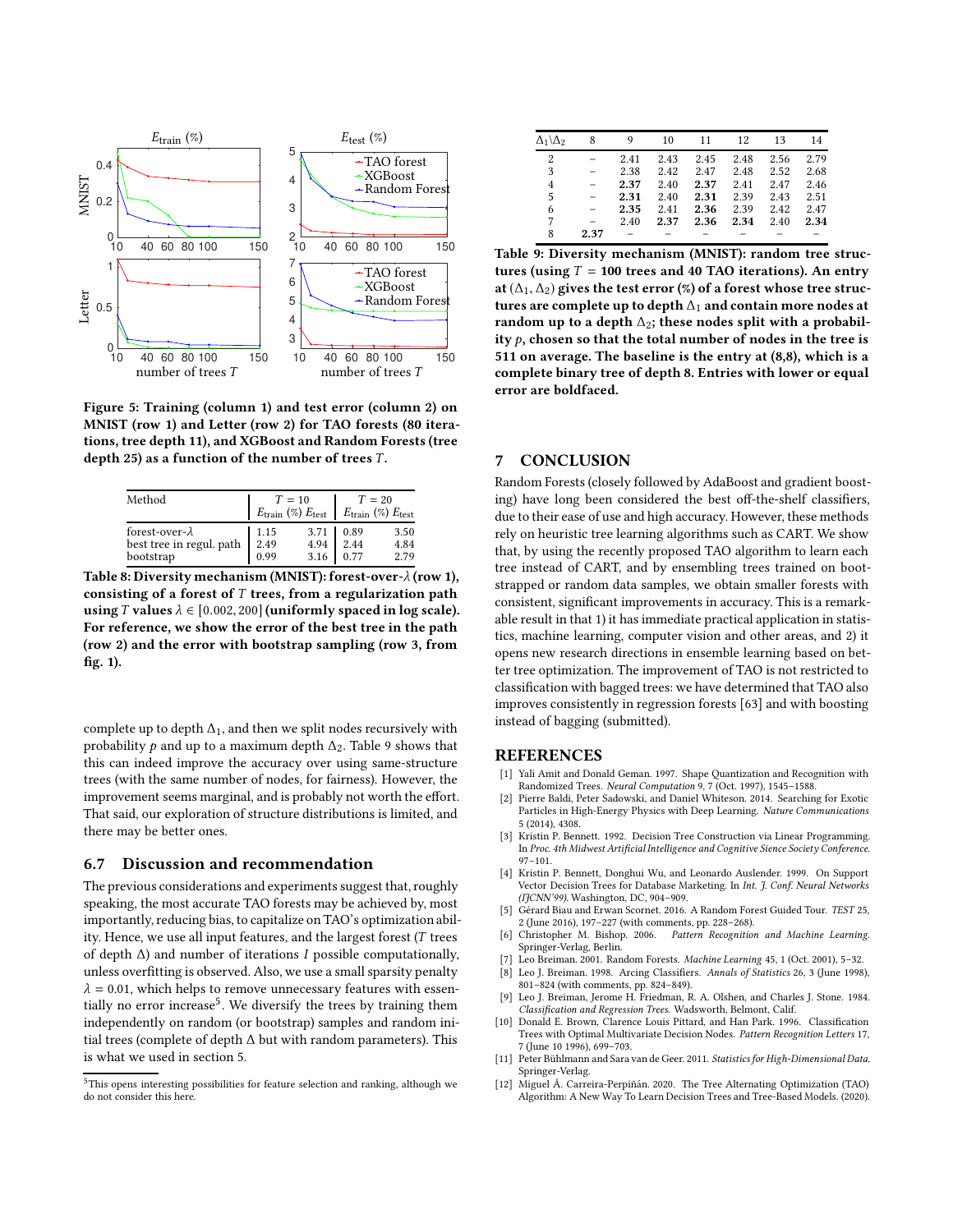<span id="page-8-12"></span>

Figure 5: Training (column 1) and test error (column 2) on MNIST (row 1) and Letter (row 2) for TAO forests (80 iterations, tree depth 11), and XGBoost and Random Forests (tree depth 25) as a function of the number of trees  $T$ .

<span id="page-8-13"></span>

| Method                                                                           |              | $T=10$<br>$E_{\text{train}}$ (%) $E_{\text{test}}$ $E_{\text{train}}$ (%) $E_{\text{test}}$ | $T=20$                    |                      |
|----------------------------------------------------------------------------------|--------------|---------------------------------------------------------------------------------------------|---------------------------|----------------------|
| forest-over- $\lambda$<br>best tree in regul. path $\,$   2.49 $\,$<br>bootstrap | 1.15<br>0.99 | 4.94<br>3.16                                                                                | 3.71 0.89<br>2.44<br>0.77 | 3.50<br>4.84<br>2.79 |

Table 8: Diversity mechanism (MNIST): forest-over- $\lambda$  (row 1), consisting of a forest of  $T$  trees, from a regularization path using T values  $\lambda \in [0.002, 200]$  (uniformly spaced in log scale). For reference, we show the error of the best tree in the path (row 2) and the error with bootstrap sampling (row 3, from fig. [1\)](#page-6-2).

complete up to depth  $\Delta_1$ , and then we split nodes recursively with probability  $p$  and up to a maximum depth  $\Delta_2$ . Table [9](#page-8-14) shows that this can indeed improve the accuracy over using same-structure trees (with the same number of nodes, for fairness). However, the improvement seems marginal, and is probably not worth the effort. That said, our exploration of structure distributions is limited, and there may be better ones.

### 6.7 Discussion and recommendation

The previous considerations and experiments suggest that, roughly speaking, the most accurate TAO forests may be achieved by, most importantly, reducing bias, to capitalize on TAO's optimization ability. Hence, we use all input features, and the largest forest (T trees of depth  $\Delta$ ) and number of iterations *I* possible computationally, unless overfitting is observed. Also, we use a small sparsity penalty  $\lambda = 0.01$ , which helps to remove unnecessary features with essen-tially no error increase<sup>[5](#page-8-15)</sup>. We diversify the trees by training them independently on random (or bootstrap) samples and random initial trees (complete of depth ∆ but with random parameters). This is what we used in section [5.](#page-2-0)

<span id="page-8-15"></span>

<span id="page-8-14"></span>

| $\Delta_1 \backslash \Delta_2$ | 8    | 9    | 10   | 11   | 12   | 13   | 14   |
|--------------------------------|------|------|------|------|------|------|------|
| 2                              |      | 2.41 | 2.43 | 2.45 | 2.48 | 2.56 | 2.79 |
| 3                              |      | 2.38 | 2.42 | 2.47 | 2.48 | 2.52 | 2.68 |
| 4                              |      | 2.37 | 2.40 | 2.37 | 2.41 | 2.47 | 2.46 |
| 5                              |      | 2.31 | 2.40 | 2.31 | 2.39 | 2.43 | 2.51 |
| 6                              |      | 2.35 | 2.41 | 2.36 | 2.39 | 2.42 | 2.47 |
| 7                              |      | 2.40 | 2.37 | 2.36 | 2.34 | 2.40 | 2.34 |
| 8                              | 2.37 |      |      |      |      |      |      |
|                                |      |      |      |      |      |      |      |

Table 9: Diversity mechanism (MNIST): random tree structures (using  $T = 100$  trees and 40 TAO iterations). An entry at  $(\Delta_1, \Delta_2)$  gives the test error (%) of a forest whose tree structures are complete up to depth  $\Delta_1$  and contain more nodes at random up to a depth  $\Delta_2$ ; these nodes split with a probability  $p$ , chosen so that the total number of nodes in the tree is 511 on average. The baseline is the entry at (8,8), which is a complete binary tree of depth 8. Entries with lower or equal error are boldfaced.

### 7 CONCLUSION

Random Forests (closely followed by AdaBoost and gradient boosting) have long been considered the best off-the-shelf classifiers, due to their ease of use and high accuracy. However, these methods rely on heuristic tree learning algorithms such as CART. We show that, by using the recently proposed TAO algorithm to learn each tree instead of CART, and by ensembling trees trained on bootstrapped or random data samples, we obtain smaller forests with consistent, significant improvements in accuracy. This is a remarkable result in that 1) it has immediate practical application in statistics, machine learning, computer vision and other areas, and 2) it opens new research directions in ensemble learning based on better tree optimization. The improvement of TAO is not restricted to classification with bagged trees: we have determined that TAO also improves consistently in regression forests [\[63\]](#page-9-42) and with boosting instead of bagging (submitted).

#### REFERENCES

- <span id="page-8-2"></span>[1] Yali Amit and Donald Geman. 1997. Shape Quantization and Recognition with Randomized Trees. Neural Computation 9, 7 (Oct. 1997), 1545–1588.
- <span id="page-8-11"></span>[2] Pierre Baldi, Peter Sadowski, and Daniel Whiteson. 2014. Searching for Exotic Particles in High-Energy Physics with Deep Learning. Nature Communications 5 (2014), 4308.
- <span id="page-8-7"></span>[3] Kristin P. Bennett. 1992. Decision Tree Construction via Linear Programming. In Proc. 4th Midwest Artificial Intelligence and Cognitive Sience Society Conference. 97–101.
- <span id="page-8-8"></span>[4] Kristin P. Bennett, Donghui Wu, and Leonardo Auslender. 1999. On Support Vector Decision Trees for Database Marketing. In Int. J. Conf. Neural Networks (IJCNN'99). Washington, DC, 904–909.
- <span id="page-8-10"></span>[5] Gérard Biau and Erwan Scornet. 2016. A Random Forest Guided Tour. TEST 25, 2 (June 2016), 197–227 (with comments, pp. 228–268).
- <span id="page-8-6"></span>[6] Christopher M. Bishop. 2006. Pattern Recognition and Machine Learning. Springer-Verlag, Berlin.
- <span id="page-8-3"></span>[7] Leo Breiman. 2001. Random Forests. Machine Learning 45, 1 (Oct. 2001), 5–32.
- <span id="page-8-0"></span>Leo J. Breiman. 1998. Arcing Classifiers. Annals of Statistics 26, 3 (June 1998), 801–824 (with comments, pp. 824–849).
- <span id="page-8-4"></span>Leo J. Breiman, Jerome H. Friedman, R. A. Olshen, and Charles J. Stone. 1984. Classification and Regression Trees. Wadsworth, Belmont, Calif.
- <span id="page-8-9"></span>[10] Donald E. Brown, Clarence Louis Pittard, and Han Park. 1996. Classification Trees with Optimal Multivariate Decision Nodes. Pattern Recognition Letters 17, 7 (June 10 1996), 699–703.
- <span id="page-8-1"></span>[11] Peter Bühlmann and Sara van de Geer. 2011. Statistics for High-Dimensional Data. Springer-Verlag.
- <span id="page-8-5"></span>[12] Miguel Á. Carreira-Perpiñán. 2020. The Tree Alternating Optimization (TAO) Algorithm: A New Way To Learn Decision Trees and Tree-Based Models. (2020).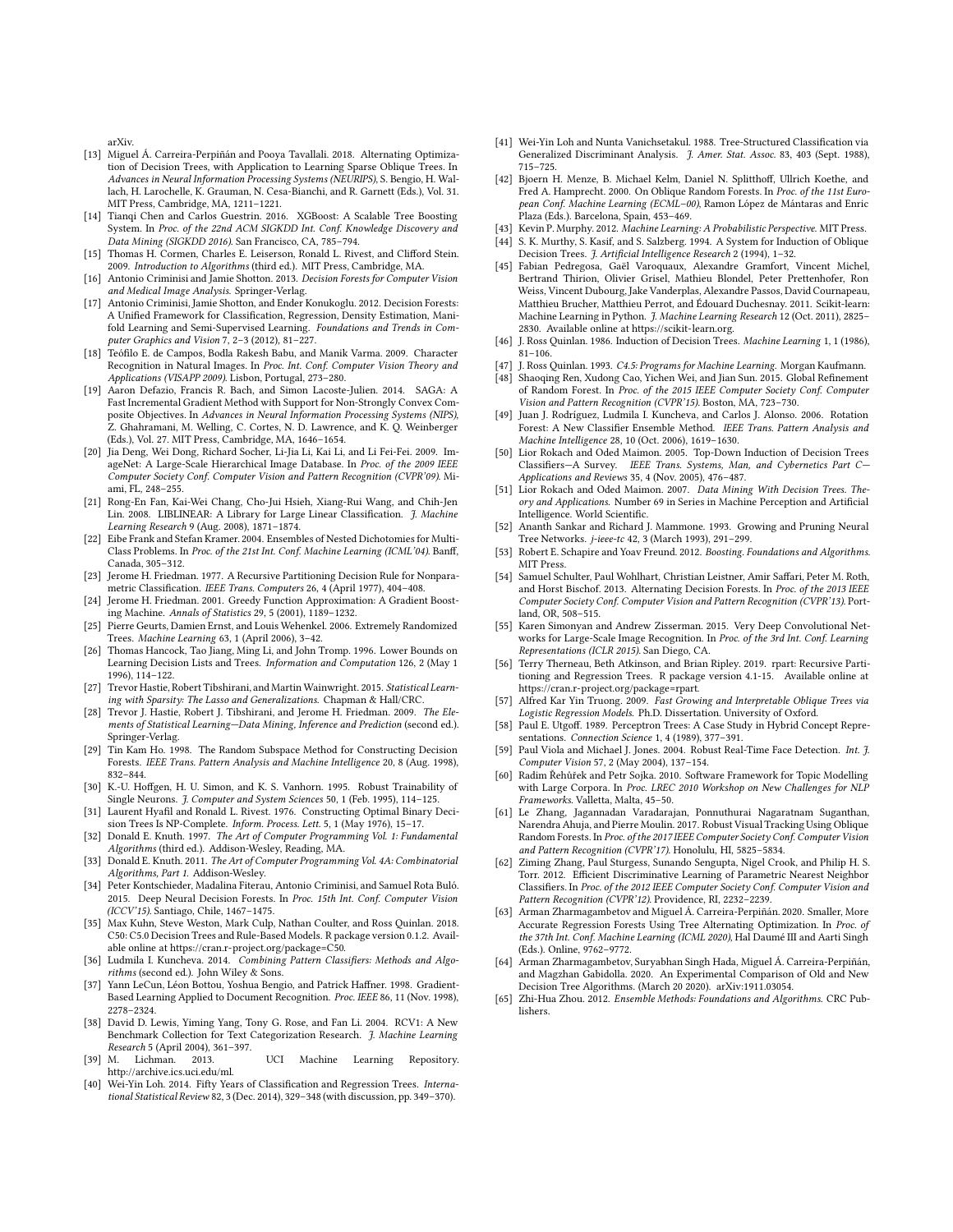arXiv.

- <span id="page-9-8"></span>[13] Miguel Á. Carreira-Perpiñán and Pooya Tavallali. 2018. Alternating Optimization of Decision Trees, with Application to Learning Sparse Oblique Trees. In Advances in Neural Information Processing Systems (NEURIPS), S. Bengio, H. Wallach, H. Larochelle, K. Grauman, N. Cesa-Bianchi, and R. Garnett (Eds.), Vol. 31. MIT Press, Cambridge, MA, 1211–1221.
- <span id="page-9-10"></span>[14] Tianqi Chen and Carlos Guestrin. 2016. XGBoost: A Scalable Tree Boosting System. In Proc. of the 22nd ACM SIGKDD Int. Conf. Knowledge Discovery and Data Mining (SIGKDD 2016). San Francisco, CA, 785–794.
- <span id="page-9-39"></span>[15] Thomas H. Cormen, Charles E. Leiserson, Ronald L. Rivest, and Clifford Stein. 2009. Introduction to Algorithms (third ed.). MIT Press, Cambridge, MA.
- <span id="page-9-5"></span>[16] Antonio Criminisi and Jamie Shotton. 2013. Decision Forests for Computer Vision and Medical Image Analysis. Springer-Verlag.
- <span id="page-9-1"></span>[17] Antonio Criminisi, Jamie Shotton, and Ender Konukoglu. 2012. Decision Forests: A Unified Framework for Classification, Regression, Density Estimation, Manifold Learning and Semi-Supervised Learning. Foundations and Trends in Computer Graphics and Vision 7, 2–3 (2012), 81–227.
- <span id="page-9-45"></span>[18] Teófilo E. de Campos, Bodla Rakesh Babu, and Manik Varma. 2009. Character Recognition in Natural Images. In Proc. Int. Conf. Computer Vision Theory and Applications (VISAPP 2009). Lisbon, Portugal, 273–280.
- <span id="page-9-38"></span>[19] Aaron Defazio, Francis R. Bach, and Simon Lacoste-Julien. 2014. SAGA: A Fast Incremental Gradient Method with Support for Non-Strongly Convex Composite Objectives. In Advances in Neural Information Processing Systems (NIPS), Z. Ghahramani, M. Welling, C. Cortes, N. D. Lawrence, and K. Q. Weinberger (Eds.), Vol. 27. MIT Press, Cambridge, MA, 1646–1654.
- <span id="page-9-47"></span>[20] Jia Deng, Wei Dong, Richard Socher, Li-Jia Li, Kai Li, and Li Fei-Fei. 2009. ImageNet: A Large-Scale Hierarchical Image Database. In Proc. of the 2009 IEEE Computer Society Conf. Computer Vision and Pattern Recognition (CVPR'09). Miami, FL, 248–255.
- <span id="page-9-35"></span>[21] Rong-En Fan, Kai-Wei Chang, Cho-Jui Hsieh, Xiang-Rui Wang, and Chih-Jen Lin. 2008. LIBLINEAR: A Library for Large Linear Classification. J. Machine Learning Research 9 (Aug. 2008), 1871–1874.
- <span id="page-9-31"></span>[22] Eibe Frank and Stefan Kramer. 2004. Ensembles of Nested Dichotomies for Multi-Class Problems. In Proc. of the 21st Int. Conf. Machine Learning (ICML'04). Banff, Canada, 305–312.
- <span id="page-9-24"></span>[23] Jerome H. Friedman. 1977. A Recursive Partitioning Decision Rule for Nonparametric Classification. IEEE Trans. Computers 26, 4 (April 1977), 404–408.
- <span id="page-9-6"></span>[24] Jerome H. Friedman. 2001. Greedy Function Approximation: A Gradient Boosting Machine. Annals of Statistics 29, 5 (2001), 1189–1232.
- <span id="page-9-29"></span>[25] Pierre Geurts, Damien Ernst, and Louis Wehenkel. 2006. Extremely Randomized Trees. Machine Learning 63, 1 (April 2006), 3–42.
- <span id="page-9-12"></span>[26] Thomas Hancock, Tao Jiang, Ming Li, and John Tromp. 1996. Lower Bounds on Learning Decision Lists and Trees. Information and Computation 126, 2 (May 1 1996), 114–122.
- <span id="page-9-33"></span>[27] Trevor Hastie, Robert Tibshirani, and Martin Wainwright. 2015. Statistical Learning with Sparsity: The Lasso and Generalizations. Chapman & Hall/CRC.
- <span id="page-9-0"></span>[28] Trevor J. Hastie, Robert J. Tibshirani, and Jerome H. Friedman. 2009. The Elements of Statistical Learning—Data Mining, Inference and Prediction (second ed.). Springer-Verlag.
- <span id="page-9-40"></span>[29] Tin Kam Ho. 1998. The Random Subspace Method for Constructing Decision Forests. IEEE Trans. Pattern Analysis and Machine Intelligence 20, 8 (Aug. 1998), 832–844.
- <span id="page-9-34"></span>[30] K.-U. Hoffgen, H. U. Simon, and K. S. Vanhorn. 1995. Robust Trainability of Single Neurons. J. Computer and System Sciences 50, 1 (Feb. 1995), 114–125.
- <span id="page-9-13"></span>[31] Laurent Hyafil and Ronald L. Rivest. 1976. Constructing Optimal Binary Decision Trees Is NP-Complete. Inform. Process. Lett. 5, 1 (May 1976), 15-17.
- <span id="page-9-51"></span>[32] Donald E. Knuth. 1997. The Art of Computer Programming Vol. 1: Fundamental Algorithms (third ed.). Addison-Wesley, Reading, MA.
- <span id="page-9-52"></span>[33] Donald E. Knuth. 2011. The Art of Computer Programming Vol. 4A: Combinatorial Algorithms, Part 1. Addison-Wesley.
- <span id="page-9-30"></span>[34] Peter Kontschieder, Madalina Fiterau, Antonio Criminisi, and Samuel Rota Buló. 2015. Deep Neural Decision Forests. In Proc. 15th Int. Conf. Computer Vision (ICCV'15). Santiago, Chile, 1467–1475.
- <span id="page-9-20"></span>[35] Max Kuhn, Steve Weston, Mark Culp, Nathan Coulter, and Ross Quinlan. 2018. C50: C5.0 Decision Trees and Rule-Based Models. R package version 0.1.2. Available online at [https://cran.r-project.org/package=C50.](https://cran.r-project.org/package=C50)
- <span id="page-9-9"></span>[36] Ludmila I. Kuncheva. 2014. Combining Pattern Classifiers: Methods and Algorithms (second ed.). John Wiley & Sons.
- <span id="page-9-44"></span>[37] Yann LeCun, Léon Bottou, Yoshua Bengio, and Patrick Haffner. 1998. Gradient-Based Learning Applied to Document Recognition. Proc. IEEE 86, 11 (Nov. 1998), 2278–2324.
- <span id="page-9-50"></span>[38] David D. Lewis, Yiming Yang, Tony G. Rose, and Fan Li. 2004. RCV1: A New Benchmark Collection for Text Categorization Research. J. Machine Learning Research 5 (April 2004), 361–397.<br>[39] M. Lichman. 2013.
- <span id="page-9-43"></span>UCI Machine Learning Repository. [http://archive.ics.uci.edu/ml.](http://archive.ics.uci.edu/ml)
- <span id="page-9-15"></span>[40] Wei-Yin Loh. 2014. Fifty Years of Classification and Regression Trees. International Statistical Review 82, 3 (Dec. 2014), 329–348 (with discussion, pp. 349–370).
- <span id="page-9-25"></span>[41] Wei-Yin Loh and Nunta Vanichsetakul. 1988. Tree-Structured Classification via Generalized Discriminant Analysis. J. Amer. Stat. Assoc. 83, 403 (Sept. 1988), 715–725.
- <span id="page-9-32"></span>[42] Bjoern H. Menze, B. Michael Kelm, Daniel N. Splitthoff, Ullrich Koethe, and Fred A. Hamprecht. 2000. On Oblique Random Forests. In Proc. of the 11st European Conf. Machine Learning (ECML–00), Ramon López de Mántaras and Enric Plaza (Eds.). Barcelona, Spain, 453–469.
- <span id="page-9-23"></span><span id="page-9-14"></span>[43] Kevin P. Murphy. 2012. Machine Learning: A Probabilistic Perspective. MIT Press. [44] S. K. Murthy, S. Kasif, and S. Salzberg. 1994. A System for Induction of Oblique Decision Trees. J. Artificial Intelligence Research 2 (1994), 1–32.
- <span id="page-9-21"></span>[45] Fabian Pedregosa, Gaël Varoquaux, Alexandre Gramfort, Vincent Michel, Bertrand Thirion, Olivier Grisel, Mathieu Blondel, Peter Prettenhofer, Ron Weiss, Vincent Dubourg, Jake Vanderplas, Alexandre Passos, David Cournapeau, Matthieu Brucher, Matthieu Perrot, and Édouard Duchesnay. 2011. Scikit-learn: Machine Learning in Python. J. Machine Learning Research 12 (Oct. 2011), 2825– 2830. Available online at [https://scikit-learn.org.](https://scikit-learn.org)
- <span id="page-9-16"></span>[46] J. Ross Quinlan. 1986. Induction of Decision Trees. Machine Learning 1, 1 (1986), 81–106.
- <span id="page-9-17"></span>[47] J. Ross Quinlan. 1993. C4.5: Programs for Machine Learning. Morgan Kaufmann.
- <span id="page-9-37"></span>[48] Shaoqing Ren, Xudong Cao, Yichen Wei, and Jian Sun. 2015. Global Refinement of Random Forest. In Proc. of the 2015 IEEE Computer Society Conf. Computer Vision and Pattern Recognition (CVPR'15). Boston, MA, 723–730.
- <span id="page-9-41"></span>[49] Juan J. Rodríguez, Ludmila I. Kuncheva, and Carlos J. Alonso. 2006. Rotation Forest: A New Classifier Ensemble Method. IEEE Trans. Pattern Analysis and Machine Intelligence 28, 10 (Oct. 2006), 1619–1630.
- <span id="page-9-18"></span>[50] Lior Rokach and Oded Maimon. 2005. Top-Down Induction of Decision Trees Classifiers—A Survey. IEEE Trans. Systems, Man, and Cybernetics Part C— Applications and Reviews 35, 4 (Nov. 2005), 476–487.
- <span id="page-9-19"></span>[51] Lior Rokach and Oded Maimon. 2007. Data Mining With Decision Trees. Theory and Applications. Number 69 in Series in Machine Perception and Artificial Intelligence. World Scientific.
- <span id="page-9-27"></span>[52] Ananth Sankar and Richard J. Mammone. 1993. Growing and Pruning Neural Tree Networks. j-ieee-tc 42, 3 (March 1993), 291–299.
- <span id="page-9-7"></span>[53] Robert E. Schapire and Yoav Freund. 2012. Boosting. Foundations and Algorithms. MIT Press.
- <span id="page-9-3"></span>[54] Samuel Schulter, Paul Wohlhart, Christian Leistner, Amir Saffari, Peter M. Roth, and Horst Bischof. 2013. Alternating Decision Forests. In Proc. of the 2013 IEEE Computer Society Conf. Computer Vision and Pattern Recognition (CVPR'13). Portland, OR, 508–515.
- <span id="page-9-48"></span>[55] Karen Simonyan and Andrew Zisserman. 2015. Very Deep Convolutional Networks for Large-Scale Image Recognition. In Proc. of the 3rd Int. Conf. Learning Representations (ICLR 2015). San Diego, CA.
- <span id="page-9-22"></span>[56] Terry Therneau, Beth Atkinson, and Brian Ripley. 2019. rpart: Recursive Partitioning and Regression Trees. R package version 4.1-15. Available online at [https://cran.r-project.org/package=rpart.](https://cran.r-project.org/package=rpart)
- <span id="page-9-28"></span>Alfred Kar Yin Truong. 2009. Fast Growing and Interpretable Oblique Trees via Logistic Regression Models. Ph.D. Dissertation. University of Oxford.
- <span id="page-9-26"></span>[58] Paul E. Utgoff. 1989. Perceptron Trees: A Case Study in Hybrid Concept Representations. Connection Science 1, 4 (1989), 377-391.
- <span id="page-9-4"></span>[59] Paul Viola and Michael J. Jones. 2004. Robust Real-Time Face Detection. Int. J. Computer Vision 57, 2 (May 2004), 137–154.
- <span id="page-9-49"></span>[60] Radim Řehůřek and Petr Sojka. 2010. Software Framework for Topic Modelling with Large Corpora. In Proc. LREC 2010 Workshop on New Challenges for NLP Frameworks. Valletta, Malta, 45–50.
- <span id="page-9-2"></span>[61] Le Zhang, Jagannadan Varadarajan, Ponnuthurai Nagaratnam Suganthan, Narendra Ahuja, and Pierre Moulin. 2017. Robust Visual Tracking Using Oblique Random Forests. In Proc. of the 2017 IEEE Computer Society Conf. Computer Vision and Pattern Recognition (CVPR'17). Honolulu, HI, 5825–5834.
- <span id="page-9-46"></span>[62] Ziming Zhang, Paul Sturgess, Sunando Sengupta, Nigel Crook, and Philip H. S. Torr. 2012. Efficient Discriminative Learning of Parametric Nearest Neighbor Classifiers. In Proc. of the 2012 IEEE Computer Society Conf. Computer Vision and Pattern Recognition (CVPR'12). Providence, RI, 2232–2239.
- <span id="page-9-42"></span>[63] Arman Zharmagambetov and Miguel Á. Carreira-Perpiñán. 2020. Smaller, More Accurate Regression Forests Using Tree Alternating Optimization. In Proc. of the 37th Int. Conf. Machine Learning (ICML 2020), Hal Daumé III and Aarti Singh (Eds.). Online, 9762–9772.
- <span id="page-9-36"></span>[64] Arman Zharmagambetov, Suryabhan Singh Hada, Miguel Á. Carreira-Perpiñán, and Magzhan Gabidolla. 2020. An Experimental Comparison of Old and New Decision Tree Algorithms. (March 20 2020). arXiv:1911.03054.
- <span id="page-9-11"></span>[65] Zhi-Hua Zhou. 2012. Ensemble Methods: Foundations and Algorithms. CRC Publishers.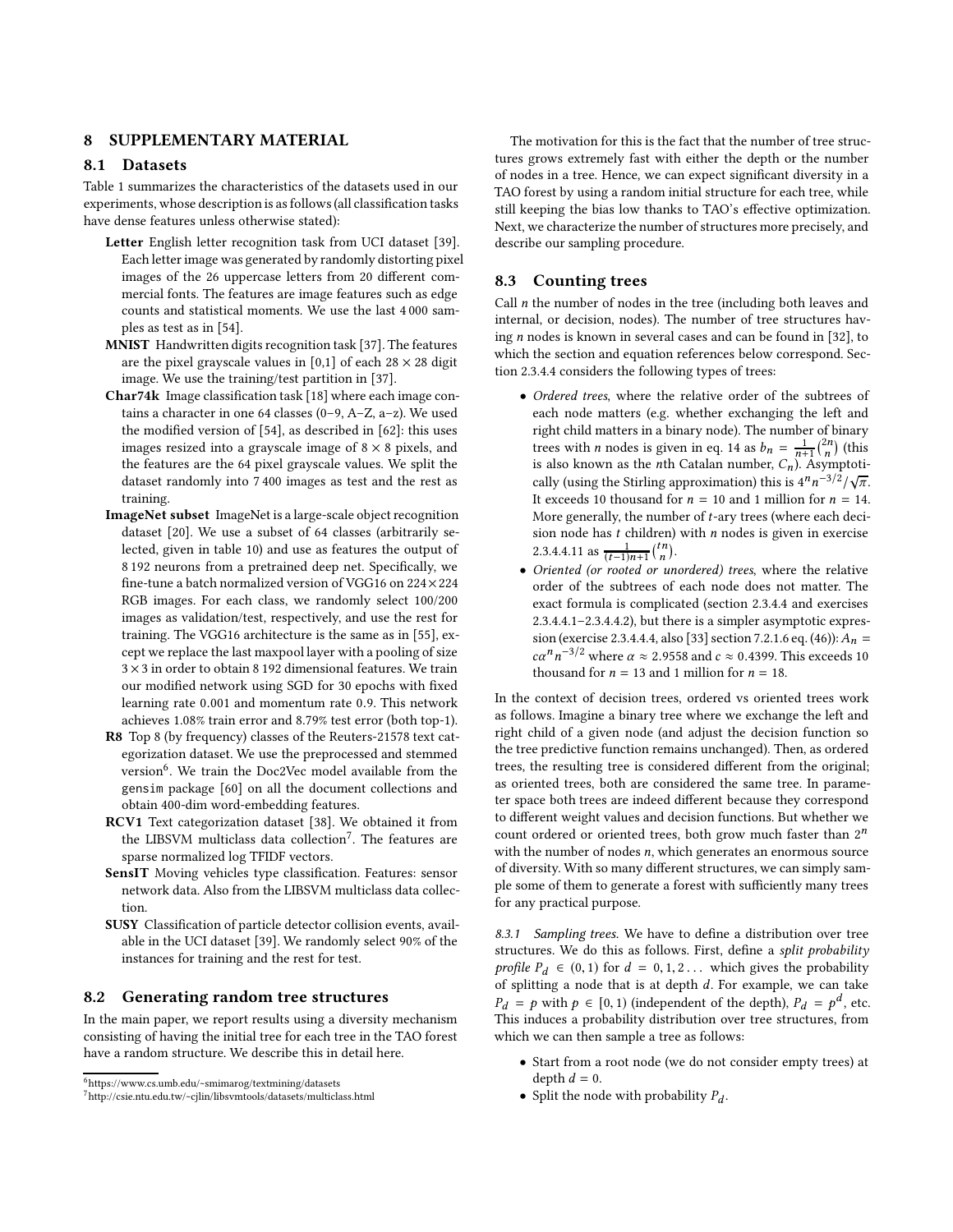## <span id="page-10-0"></span>8 SUPPLEMENTARY MATERIAL

### 8.1 Datasets

Table [1](#page-3-0) summarizes the characteristics of the datasets used in our experiments, whose description is as follows (all classification tasks have dense features unless otherwise stated):

- Letter English letter recognition task from UCI dataset [\[39](#page-9-43)]. Each letter image was generated by randomly distorting pixel images of the 26 uppercase letters from 20 different commercial fonts. The features are image features such as edge counts and statistical moments. We use the last 4 000 samples as test as in [\[54](#page-9-3)].
- MNIST Handwritten digits recognition task [\[37](#page-9-44)]. The features are the pixel grayscale values in [0,1] of each  $28 \times 28$  digit image. We use the training/test partition in [\[37\]](#page-9-44).
- Char74k Image classification task [\[18\]](#page-9-45) where each image contains a character in one 64 classes (0–9, A–Z, a–z). We used the modified version of [\[54\]](#page-9-3), as described in [\[62\]](#page-9-46): this uses images resized into a grayscale image of  $8 \times 8$  pixels, and the features are the 64 pixel grayscale values. We split the dataset randomly into 7 400 images as test and the rest as training.
- ImageNet subset ImageNet is a large-scale object recognition dataset [\[20\]](#page-9-47). We use a subset of 64 classes (arbitrarily selected, given in table [10\)](#page-11-1) and use as features the output of 8 192 neurons from a pretrained deep net. Specifically, we fine-tune a batch normalized version of VGG16 on 224×224 RGB images. For each class, we randomly select 100/200 images as validation/test, respectively, and use the rest for training. The VGG16 architecture is the same as in [\[55\]](#page-9-48), except we replace the last maxpool layer with a pooling of size  $3\times 3$  in order to obtain 8 192 dimensional features. We train our modified network using SGD for 30 epochs with fixed learning rate 0.001 and momentum rate 0.9. This network achieves 1.08% train error and 8.79% test error (both top-1).
- R8 Top 8 (by frequency) classes of the Reuters-21578 text categorization dataset. We use the preprocessed and stemmed version<sup>[6](#page-10-2)</sup>. We train the Doc2Vec model available from the gensim package [\[60\]](#page-9-49) on all the document collections and obtain 400-dim word-embedding features.
- RCV1 Text categorization dataset [\[38](#page-9-50)]. We obtained it from the LIBSVM multiclass data collection<sup>[7](#page-10-3)</sup>. The features are sparse normalized log TFIDF vectors.
- SensIT Moving vehicles type classification. Features: sensor network data. Also from the LIBSVM multiclass data collection.
- SUSY Classification of particle detector collision events, available in the UCI dataset [\[39\]](#page-9-43). We randomly select 90% of the instances for training and the rest for test.

#### <span id="page-10-1"></span>8.2 Generating random tree structures

In the main paper, we report results using a diversity mechanism consisting of having the initial tree for each tree in the TAO forest have a random structure. We describe this in detail here.

The motivation for this is the fact that the number of tree structures grows extremely fast with either the depth or the number of nodes in a tree. Hence, we can expect significant diversity in a TAO forest by using a random initial structure for each tree, while still keeping the bias low thanks to TAO's effective optimization. Next, we characterize the number of structures more precisely, and describe our sampling procedure.

#### 8.3 Counting trees

Call  $n$  the number of nodes in the tree (including both leaves and internal, or decision, nodes). The number of tree structures having n nodes is known in several cases and can be found in [\[32](#page-9-51)], to which the section and equation references below correspond. Section 2.3.4.4 considers the following types of trees:

- Ordered trees, where the relative order of the subtrees of each node matters (e.g. whether exchanging the left and right child matters in a binary node). The number of binary trees with *n* nodes is given in eq. 14 as  $b_n = \frac{1}{n+1} {2n \choose n}$  (this is also known as the *n*th Catalan number,  $C_n$ ). Asymptotically (using the Stirling approximation) this is  $4^n n^{-3/2}/\sqrt{\pi}$ . It exceeds 10 thousand for  $n = 10$  and 1 million for  $n = 14$ . More generally, the number of t-ary trees (where each decision node has  $t$  children) with  $n$  nodes is given in exercise 2.3.4.4.11 as  $\frac{1}{(t-1)n+1}$  $\binom{tn}{n}$ .
- Oriented (or rooted or unordered) trees, where the relative order of the subtrees of each node does not matter. The exact formula is complicated (section 2.3.4.4 and exercises 2.3.4.4.1–2.3.4.4.2), but there is a simpler asymptotic expres-sion (exercise 2.3.4.4.4, also [\[33](#page-9-52)] section 7.2.1.6 eq. (46)):  $A_n =$  $c\alpha^n n^{-3/2}$  where  $\alpha \approx 2.9558$  and  $c \approx 0.4399$ . This exceeds 10 thousand for  $n = 13$  and 1 million for  $n = 18$ .

In the context of decision trees, ordered vs oriented trees work as follows. Imagine a binary tree where we exchange the left and right child of a given node (and adjust the decision function so the tree predictive function remains unchanged). Then, as ordered trees, the resulting tree is considered different from the original; as oriented trees, both are considered the same tree. In parameter space both trees are indeed different because they correspond to different weight values and decision functions. But whether we count ordered or oriented trees, both grow much faster than  $2^n$ with the number of nodes  $n$ , which generates an enormous source of diversity. With so many different structures, we can simply sample some of them to generate a forest with sufficiently many trees for any practical purpose.

*8.3.1 Sampling trees.* We have to define a distribution over tree structures. We do this as follows. First, define a split probability profile  $P_d \in (0, 1)$  for  $d = 0, 1, 2...$  which gives the probability of splitting a node that is at depth  $d$ . For example, we can take  $P_d = p$  with  $p \in [0, 1)$  (independent of the depth),  $P_d = p^d$ , etc. This induces a probability distribution over tree structures, from which we can then sample a tree as follows:

- Start from a root node (we do not consider empty trees) at depth  $d = 0$ .
- Split the node with probability  $P_d$ .

 $6$ <https://www.cs.umb.edu/~smimarog/textmining/datasets>

<span id="page-10-3"></span><span id="page-10-2"></span> $7$ <http://csie.ntu.edu.tw/~cjlin/libsvmtools/datasets/multiclass.html>